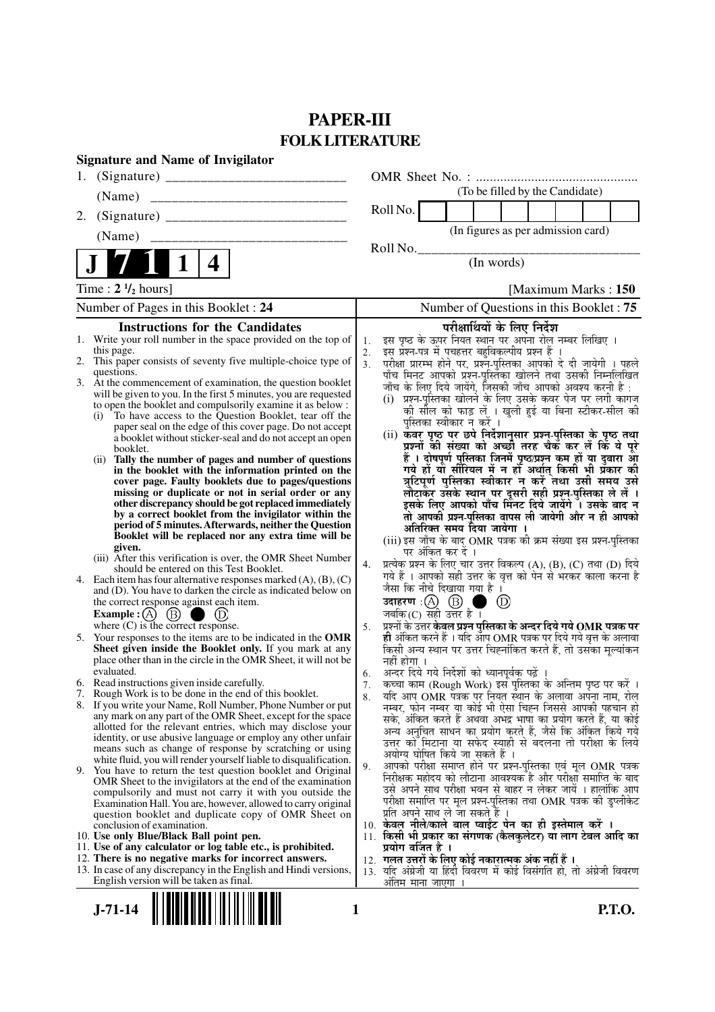# **PAPER-III FOLK LITERATURE**

|    | <b>Signature and Name of Invigilator</b>                                                                                      |          |                                                                                                                                     |
|----|-------------------------------------------------------------------------------------------------------------------------------|----------|-------------------------------------------------------------------------------------------------------------------------------------|
| 1. |                                                                                                                               |          |                                                                                                                                     |
|    | (Name)                                                                                                                        |          | (To be filled by the Candidate)                                                                                                     |
| 2. |                                                                                                                               |          | Roll No.                                                                                                                            |
|    | (Name)                                                                                                                        |          | (In figures as per admission card)                                                                                                  |
|    |                                                                                                                               |          | Roll No.                                                                                                                            |
|    | 4                                                                                                                             |          | (In words)                                                                                                                          |
|    | Time : $2 \frac{1}{2}$ hours]                                                                                                 |          | [Maximum Marks: 150]                                                                                                                |
|    | Number of Pages in this Booklet: 24                                                                                           |          | Number of Questions in this Booklet: 75                                                                                             |
|    | <b>Instructions for the Candidates</b>                                                                                        |          | परीक्षार्थियों के लिए निर्देश                                                                                                       |
|    | 1. Write your roll number in the space provided on the top of                                                                 | 1.       | इस पृष्ठ के ऊपर नियत स्थान पर अपना रोल नम्बर लिखिए ।                                                                                |
|    | this page.<br>2. This paper consists of seventy five multiple-choice type of                                                  | 2.<br>3. | इस प्रश्न-पत्र में पचहत्तर बहुविकल्पीय प्रश्न हैं ।<br>परीक्षा प्रारम्भ होने पर, प्रश्न-पुस्तिका आपको दे दी जायेगी । पहले           |
|    | questions.                                                                                                                    |          | पाँच मिनट आपको प्रश्न-पुस्तिका खोलने तथा उसकी निम्नलिखित                                                                            |
|    | 3. At the commencement of examination, the question booklet                                                                   |          | जाँच के लिए दिये जायेंगे, जिसकी जाँच आपको अवश्य करनी है :                                                                           |
|    | will be given to you. In the first 5 minutes, you are requested<br>to open the booklet and compulsorily examine it as below : |          | (i) प्रश्न-पुस्तिका खोलने के लिए उसके कवर पेज पर लगी कागज                                                                           |
|    | (i) To have access to the Question Booklet, tear off the                                                                      |          | की सील को फाड़ लें । खुली हुई या बिना स्टीकर-सील की                                                                                 |
|    | paper seal on the edge of this cover page. Do not accept                                                                      |          | पुस्तिका स्वीकार न करें ।                                                                                                           |
|    | a booklet without sticker-seal and do not accept an open                                                                      |          | (ii) कवर पृष्ठ पर छपे निर्देशानुसार प्रश्न्-पुस्तिका के पृष्ठ तथा<br>प्रश्नों की संख्या को अच्छों तरह चैक कर लें कि ये पूरे         |
|    | booklet.<br>(ii) Tally the number of pages and number of questions                                                            |          | हैं । दोषपूर्ण पुस्तिका जिनमें पृष्ठ/प्रश्न कम हों या दुबारा आ                                                                      |
|    | in the booklet with the information printed on the                                                                            |          | गये हों यो सीरियल में न हों अर्थात् किसी भी प्रकार की                                                                               |
|    | cover page. Faulty booklets due to pages/questions                                                                            |          | त्रुटिपूर्ण पुस्तिका स्वीकार न करें तथा उसी समय उसे                                                                                 |
|    | missing or duplicate or not in serial order or any<br>other discrepancy should be got replaced immediately                    |          | लौटाकर उसके स्थान पर दूसरी सही प्रश्न-पुस्तिका ले लें ।<br>इसके लिए आपको पाँच मिनट दिये जायेंगे । उसके बाद न                        |
|    | by a correct booklet from the invigilator within the                                                                          |          | तो आपकी प्रश्न-पुस्तिका वापस ली जायेगी और न ही आपको                                                                                 |
|    | period of 5 minutes. Afterwards, neither the Question                                                                         |          | अतिरिक्त समय दिया जायेगा ।                                                                                                          |
|    | Booklet will be replaced nor any extra time will be<br>given.                                                                 |          | (iii) इस जाँच के बाद OMR पत्रक की क्रम संख्या इस प्रश्न-पुस्तिका                                                                    |
|    | (iii) After this verification is over, the OMR Sheet Number                                                                   |          | पर अंकित कर दें ।                                                                                                                   |
|    | should be entered on this Test Booklet.                                                                                       | 4.       | प्रत्येक प्रश्न के लिए चार उत्तर विकल्प (A), (B), (C) तथा (D) दिये<br>गये हैं । आपको सही उत्तर के वृत्त को पेन से भरकर काला करना है |
|    | 4. Each item has four alternative responses marked $(A)$ , $(B)$ , $(C)$                                                      |          | जैसा कि नीचे दिखाया गया है ।                                                                                                        |
|    | and (D). You have to darken the circle as indicated below on<br>the correct response against each item.                       |          | उदाहरण $\,$ :( $\,\mathrm{(A)}$ $\,$ $\mathrm{(B)}$<br>$\circledR$                                                                  |
|    | Example : $(A)$ (B)<br>$\cup$                                                                                                 |          | जबकि $(C)$ सही उत्तर है।                                                                                                            |
|    | where $(C)$ is the correct response.                                                                                          | 5.       | प्रश्नों के उत्तर केवल प्रश्न पुस्तिका के अन्दर दिये गये OMR पत्रक पर                                                               |
| 5. | Your responses to the items are to be indicated in the OMR                                                                    |          | ही अंकित करने हैं । यदि आप OMR पत्रक पर दिये गये वृत्त के अलावा                                                                     |
|    | Sheet given inside the Booklet only. If you mark at any<br>place other than in the circle in the OMR Sheet, it will not be    |          | किसी अन्य स्थान पर उत्तर चिह्नांकित करते हैं, तो उसका मूल्यांकन<br>नहीं होगा ।                                                      |
|    | evaluated.                                                                                                                    | 6.       | अन्दर दिये गये निर्देशों को ध्यानपूर्वक पढ़ें                                                                                       |
|    | 6. Read instructions given inside carefully.                                                                                  | 7.       | कच्चा काम (Rough Work) इस पुस्तिका के अन्तिम पृष्ठ पर करें ।                                                                        |
|    | 7. Rough Work is to be done in the end of this booklet.                                                                       | 8.       | यदि आप OMR पत्रक पर नियत स्थान के अलावा अपना नाम, रोल                                                                               |
|    | 8. If you write your Name, Roll Number, Phone Number or put<br>any mark on any part of the OMR Sheet, except for the space    |          | नम्बर, फोन नम्बर या कोई भी ऐसा चिह्न जिससे आपकी पहचान हो                                                                            |
|    | allotted for the relevant entries, which may disclose your                                                                    |          | सके, अंकित करते हैं अथवा अभद्र भाषा का प्रयोग करते हैं, या कोई<br>अन्य अनचित साधन का प्रयोग करते हैं, जैसे कि अंकित किये गये        |
|    | identity, or use abusive language or employ any other unfair                                                                  |          | उत्तर को मिटाना या सफेद स्याही से बदलना तो परीक्षा के लिये                                                                          |
|    | means such as change of response by scratching or using<br>white fluid, you will render yourself liable to disqualification.  |          | अयोग्य घोषित किये जा सकते हैं ।                                                                                                     |
|    | 9. You have to return the test question booklet and Original                                                                  | 9.       | आपको परीक्षा समाप्त होने पर प्रश्न-पुस्तिका एवं मूल OMR पत्रक                                                                       |
|    | OMR Sheet to the invigilators at the end of the examination                                                                   |          | निरीक्षक महोदय को लौटाना आवश्यक है और परीक्षा समाप्ति के बाद<br>उसे अपने साथ परीक्षा भवन से बाहर न लेकर जायें । हालांकि आप          |
|    | compulsorily and must not carry it with you outside the<br>Examination Hall. You are, however, allowed to carry original      |          | परीक्षा समाप्ति पर मूल प्रश्न-पुस्तिका तथा OMR पत्रक की डुप्लीकेट                                                                   |
|    | question booklet and duplicate copy of OMR Sheet on                                                                           |          | प्रति अपने साथ ले जा सकते है ।                                                                                                      |
|    | conclusion of examination.                                                                                                    |          | 10. केवल नीले/काले बाल प्वाईंट पेन का ही इस्तेमाल करें ।                                                                            |
|    | 10. Use only Blue/Black Ball point pen.                                                                                       |          | 11. किसी भी प्रकार का संगणक (कैलकुलेटर) या लाग टेबल आदि का                                                                          |
|    | 11. Use of any calculator or log table etc., is prohibited.<br>12. There is no negative marks for incorrect answers.          |          | प्रयोग वर्जित है ।<br>12. गलत उत्तरों के लिए कोई नकारात्मक अंक नहीं हैं ।                                                           |
|    | 13. In case of any discrepancy in the English and Hindi versions,                                                             |          | 13. यदि अंग्रेजी या हिंदी विवरण में कोई विसंगति हो, तो अंग्रेजी विवरण                                                               |
|    | English version will be taken as final.                                                                                       |          | अंतिम माना जाएगा                                                                                                                    |

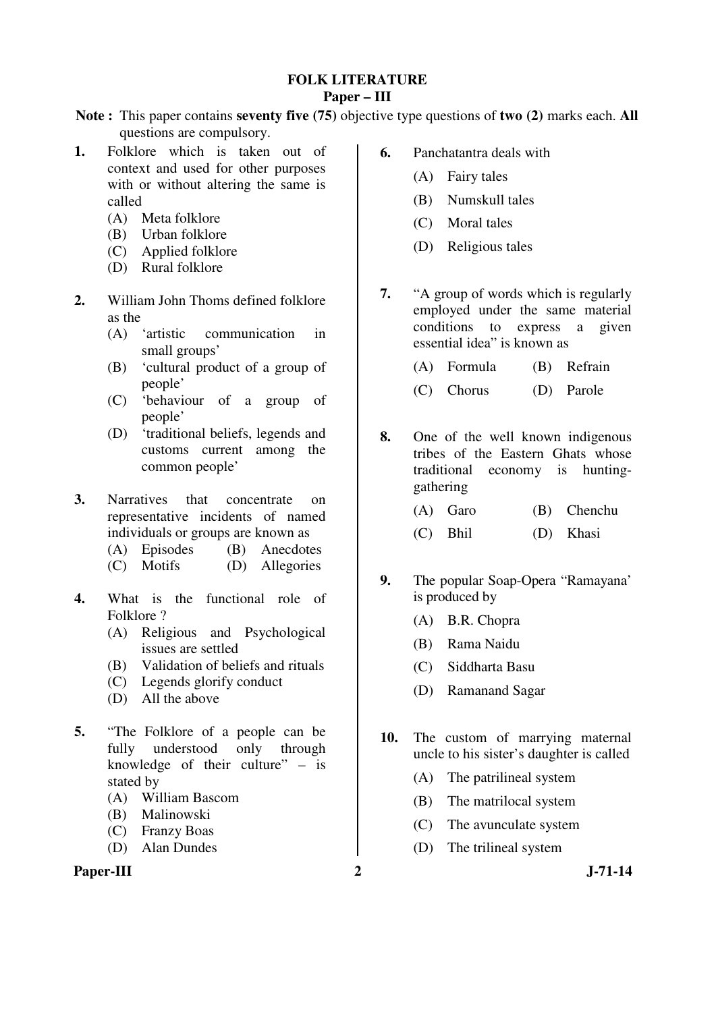## **FOLK LITERATURE Paper – III**

**Note :** This paper contains **seventy five (75)** objective type questions of **two (2)** marks each. **All** questions are compulsory.

- **1.** Folklore which is taken out of context and used for other purposes with or without altering the same is called
	- (A) Meta folklore
	- (B) Urban folklore
	- (C) Applied folklore
	- (D) Rural folklore
- **2.** William John Thoms defined folklore as the
	- (A) 'artistic communication in small groups'
	- (B) 'cultural product of a group of people'
	- (C) 'behaviour of a group of people'
	- (D) 'traditional beliefs, legends and customs current among the common people'
- **3.** Narratives that concentrate on representative incidents of named individuals or groups are known as
	- (A) Episodes (B) Anecdotes
	- (C) Motifs (D) Allegories
- **4.** What is the functional role of Folklore ?
	- (A) Religious and Psychological issues are settled
	- (B) Validation of beliefs and rituals
	- (C) Legends glorify conduct
	- (D) All the above
- **5.** "The Folklore of a people can be fully understood only through knowledge of their culture"  $-$  is stated by
	- (A) William Bascom
	- (B) Malinowski
	- (C) Franzy Boas
	- (D) Alan Dundes

## Paper-III 2 J-71-14

- **6.** Panchatantra deals with
	- (A) Fairy tales
	- (B) Numskull tales
	- (C) Moral tales
	- (D) Religious tales
- **7.** "A group of words which is regularly employed under the same material conditions to express a given essential idea" is known as
	- (A) Formula (B) Refrain
	- (C) Chorus (D) Parole
- **8.** One of the well known indigenous tribes of the Eastern Ghats whose traditional economy is huntinggathering
	- (A) Garo (B) Chenchu
	- (C) Bhil (D) Khasi
- **9.** The popular Soap-Opera "Ramayana' is produced by
	- (A) B.R. Chopra
	- (B) Rama Naidu
	- (C) Siddharta Basu
	- (D) Ramanand Sagar
- **10.** The custom of marrying maternal uncle to his sister's daughter is called
	- (A) The patrilineal system
	- (B) The matrilocal system
	- (C) The avunculate system
	- (D) The trilineal system
-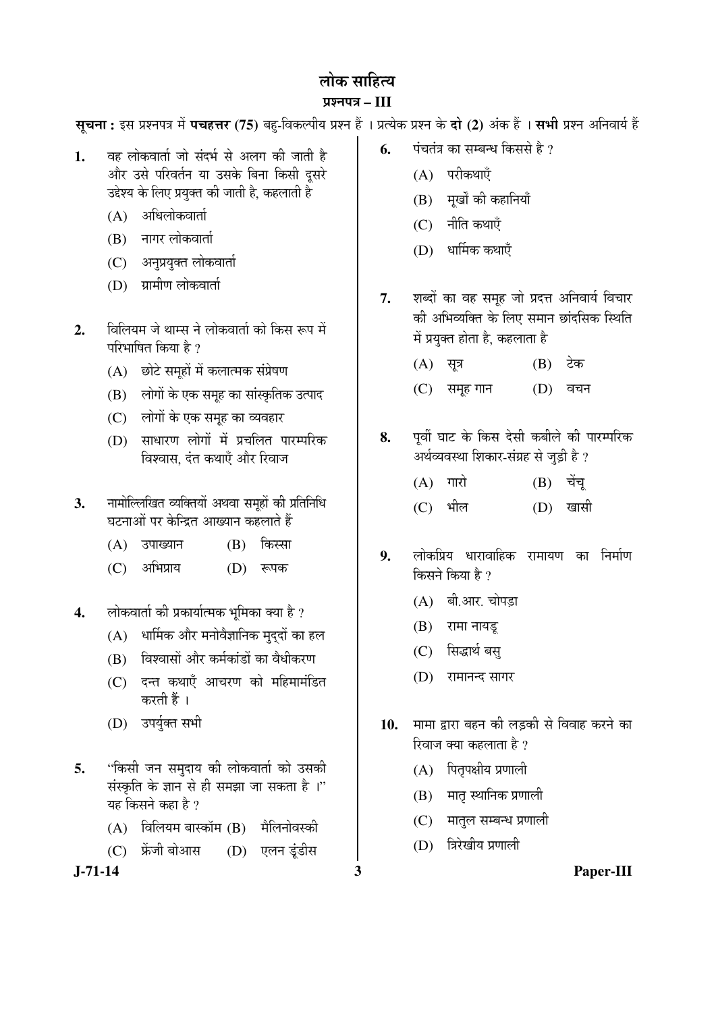# लोक साहित्य

# ¯ÖÏ¿®Ö¯Ö¡Ö **– III**

स्**चना:** इस प्रश्नपत्र में **पचहत्तर (75)** बह-विकल्पीय प्रश्न हैं । प्रत्येक प्रश्न के **दो (2)** अंक हैं । सभी प्रश्न अनिवार्य हैं

- **1.** वह लोकवार्ता जो संदर्भ से अलग की जाती है और उसे परिवर्तन या उसके बिना किसी दसरे उद्देश्य के लिए प्रयुक्त की जाती है. कहलाती है
	- $(A)$  अधिलोकवार्ता
	- (B) नागर लोकवार्ता
	- (C) अनुप्रयुक्त लोकवार्ता
	- $(D)$  ग्रामीण लोकवार्ता
- 2. विलियम जे थाम्स ने लोकवार्ता को किस रूप में परिभाषित किया है ?
	- $(A)$  छोटे समूहों में कलात्मक संप्रेषण
	- (B) लोगों के एक समूह का सांस्कृतिक उत्पाद
	- (C) लोगों के एक समह का व्यवहार
	- (D) साधारण लोगों में प्रचलित पारम्परिक विश्वास, दंत कथाएँ और रिवाज
- 3. नामोल्लिखित व्यक्तियों अथवा समूहों की प्रतिनिधि घटनाओं पर केन्द्रित आख्यान कहलाते हैं
	- (A) उपाख्यान (B) किस्सा
	- (C) अभिप्राय (D) रूपक
- **4.** लोकवार्ता की प्रकार्यात्मक भमिका क्या है ?
	- $(A)$  धार्मिक और मनोवैज्ञानिक मुद्दों का हल
	- (B) विश्वासों और कर्मकांडों का वैधीकरण
	- $(C)$  दन्त कथाएँ आचरण को महिमामंडित करती हैं ।
	- (D) उपर्युक्त सभी
- **5.** "किसी जन समुदाय की लोकवार्ता को उसकी संस्कृति के ज्ञान से ही समझा जा सकता है ।" यह किसने कहा है ?
	- $(A)$  विलियम बास्कॉम  $(B)$  मैलिनोवस्की
	- (C) फ्रेंजी बोआस (D) एलन डुंडीस

- **6.** पंचतंत्र का सम्बन्ध किससे है ?
	- $(A)$  परीकथाएँ
	- (B) मुखों की कहानियाँ
	- $(C)$  नीति कथाएँ
	- $(D)$  धार्मिक कथाएँ
- 7. शब्दों का वह समुह जो प्रदत्त अनिवार्य विचार की अभिव्यक्ति के लिए समान छांदसिक स्थिति में प्रयुक्त होता है. कहलाता है
	- $(A)$  सत्र  $(B)$  टेक
	- (C) समूह गान (D) वचन
- 8. <sup>पूर्वी घाट के किस देसी कबीले की पारम्परिक</sup> अर्थव्यवस्था शिकार-संग्रह से जुड़ी है ?
	- $(A)$  गारो  $(B)$  चेंच (C) भील (D) खासी
- **9.** लोकप्रिय धारावाहिक रामायण का निर्माण किसने किया है ?
	- $(A)$  बी.आर. चोपडा
	- (B) रामा नायडू
	- (C) सिद्धार्थ बस्
	- (D) रामानन्द सागर
- 10. मामा द्वारा बहन की लडकी से विवाह करने का रिवाज क्या कहलाता है ?
	- $(A)$  पितृपक्षीय प्रणाली
	- $(B)$  मातृ स्थानिक प्रणाली
	- (C) मातुल सम्बन्ध प्रणाली
	- (D) त्रिरेखीय प्रणाली

**J-71-14 3 Paper-III**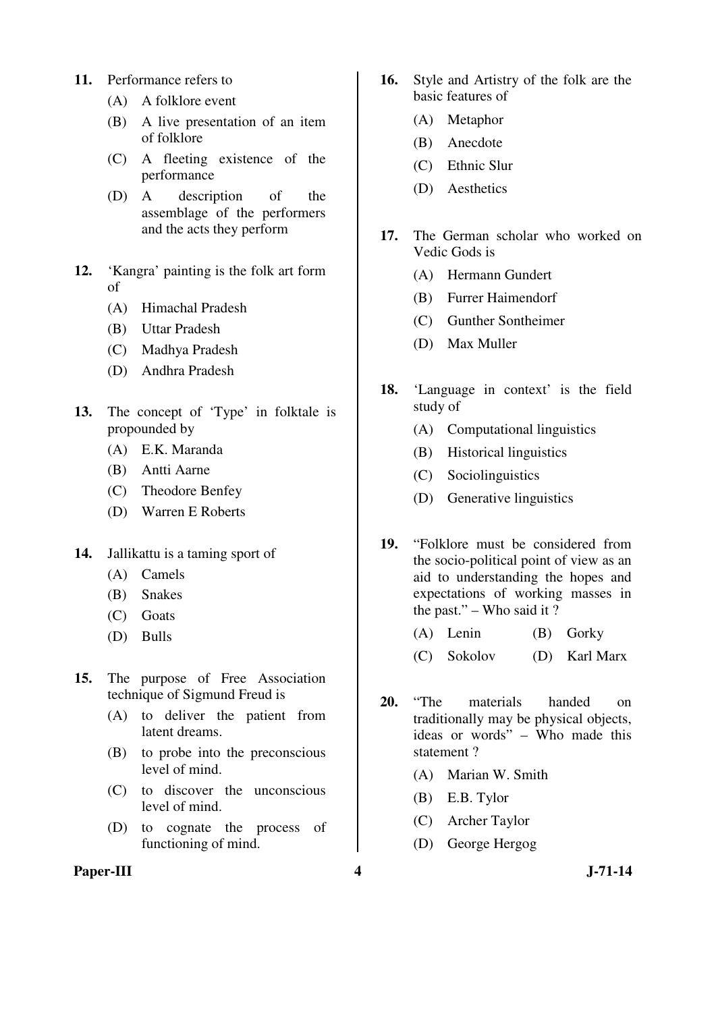- **11.** Performance refers to
	- (A) A folklore event
	- (B) A live presentation of an item of folklore
	- (C) A fleeting existence of the performance
	- (D) A description of the assemblage of the performers and the acts they perform
- **12.** 'Kangra' painting is the folk art form of
	- (A) Himachal Pradesh
	- (B) Uttar Pradesh
	- (C) Madhya Pradesh
	- (D) Andhra Pradesh
- **13.** The concept of 'Type' in folktale is propounded by
	- (A) E.K. Maranda
	- (B) Antti Aarne
	- (C) Theodore Benfey
	- (D) Warren E Roberts
- **14.** Jallikattu is a taming sport of
	- (A) Camels
	- (B) Snakes
	- (C) Goats
	- (D) Bulls
- **15.** The purpose of Free Association technique of Sigmund Freud is
	- (A) to deliver the patient from latent dreams.
	- (B) to probe into the preconscious level of mind.
	- (C) to discover the unconscious level of mind.
	- (D) to cognate the process of functioning of mind.

#### Paper-III **4** J-71-14

- **16.** Style and Artistry of the folk are the basic features of
	- (A) Metaphor
	- (B) Anecdote
	- (C) Ethnic Slur
	- (D) Aesthetics
- **17.** The German scholar who worked on Vedic Gods is
	- (A) Hermann Gundert
	- (B) Furrer Haimendorf
	- (C) Gunther Sontheimer
	- (D) Max Muller
- **18.** 'Language in context' is the field study of
	- (A) Computational linguistics
	- (B) Historical linguistics
	- (C) Sociolinguistics
	- (D) Generative linguistics
- **19.** "Folklore must be considered from the socio-political point of view as an aid to understanding the hopes and expectations of working masses in the past." – Who said it ?
	- (A) Lenin (B) Gorky
	- (C) Sokolov (D) Karl Marx
- **20.** "The materials handed on traditionally may be physical objects, ideas or words" – Who made this statement ?
	- (A) Marian W. Smith
	- (B) E.B. Tylor
	- (C) Archer Taylor
	- (D) George Hergog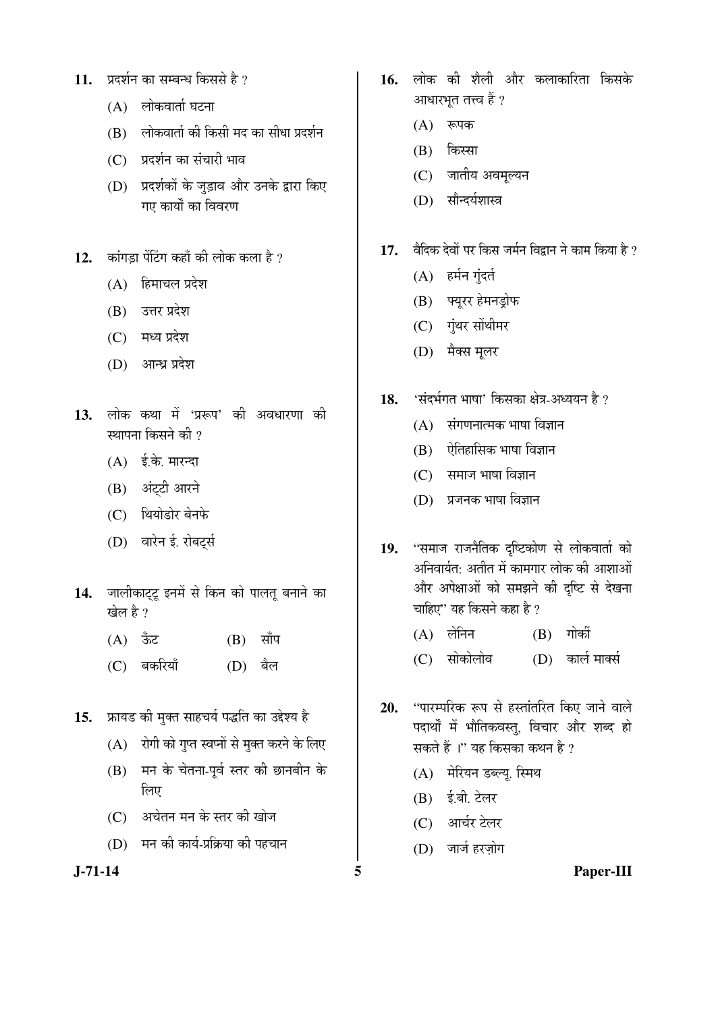- 11. **प्रदर्शन का सम्बन्ध किससे है** ?
	- $(A)$  लोकवार्ता घटना
	- $(B)$  लोकवार्ता की किसी मद का सीधा प्रदर्शन
	- (C) प्रदर्शन का संचारी भाव
	- (D) प्रदर्शकों के जुड़ाव और उनके द्वारा किए गए कार्यों का विवरण
- $12.$   $\overline{a}$  कांगडा पेंटिंग कहाँ की लोक कला है ?
	- $(A)$  हिमाचल प्रदेश
	- $(B)$  उत्तर प्रदेश
	- $(C)$  मध्य प्रदेश
	- (D) आन्ध्र प्रदेश
- 13. लोक कथा में 'प्ररूप' की अवधारणा की स्थापना किसने की  $\overline{v}$ 
	- $(A)$  ई.के. मारन्दा
	- (B) अंट्टी आरने
	- (C) थियोडोर बेनफे
	- (D) वारेन ई. रोबर्ट्स
- 14. जालीकाट्टू इनमें से किन को पालतू बनाने का खेल है ?
	- (A) ऊँट (B) साँप
	- (C) बकरियाँ (D) बैल
- 15. **फ्रायड की मुक्त साहचर्य पद्धति का उद्देश्य** है
	- $(A)$  रोगी को गुप्त स्वप्नों से मुक्त करने के लिए
	- $(B)$  मन के चेतना-पूर्व स्तर की छानबीन के लिए
	- $(C)$  । अचेतन मन के स्तर की खोज
	- $(D)$  मन की कार्य-प्रक्रिया की पहचान

- 16. लोक की शैली और कलाकारिता किसके आधारभत तत्त्व हैं ?
	- $(A)$  रूपक
	- $(B)$  किस्सा
	- (C) जातीय अवमूल्यन
	- (D) सौन्दर्यशास्त्र
- 17. वैदिक देवों पर किस जर्मन विद्वान ने काम किया है ?
	- $(A)$  हर्मन गुंदर्त
	- (B) फ्युरर हेमनड़ोफ
	- (C) गुंथर सोंथीमर
	- (D) मैक्स मूलर
- 18. 'संदर्भगत भाषा' किसका क्षेत्र-अध्ययन है ?
	- $(A)$  संगणनात्मक भाषा विज्ञान
	- $(B)$  ऐतिहासिक भाषा विज्ञान
	- $(C)$  समाज भाषा विज्ञान
	- (D) प्रजनक भाषा विज्ञान
- 19. "समाज राजनैतिक दष्टिकोण से लोकवार्ता को अनिवार्यतः अतीत में कामगार लोक की आशाओं ओर अपेक्षाओं को समझने की दृष्टि से देखना चाहिए'' यह किसने कहा है ?
	- (A) लेनिन (B) गोर्की
	- (C) सोकोलोव (D) कार्ल मार्क्स
- 20. "पारम्परिक रूप से हस्तांतरित किए जाने वाले पदार्थों में भौतिकवस्तु, विचार और शब्द हो सकते हैं ।" यह किसका कथन है ?
	- (A) मेरियन डब्ल्यू. स्मिथ
	- (B) ई.बी. टेलर
	- (C) आर्चर टेलर
	- (D) जार्ज हरजोग

**J-71-14 5 Paper-III**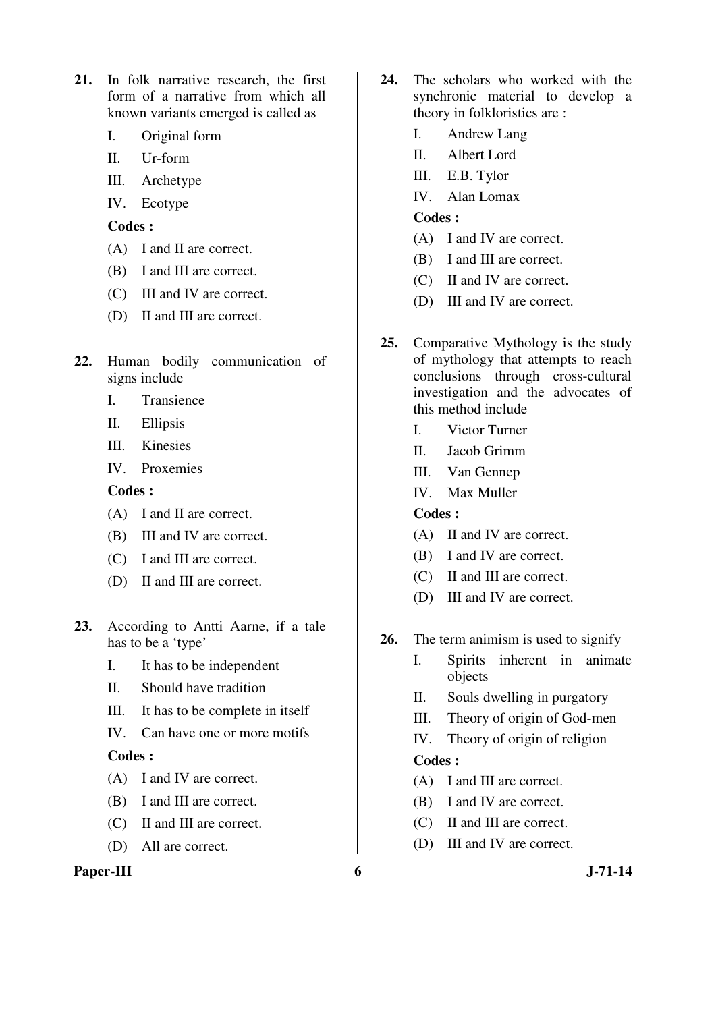- **21.** In folk narrative research, the first form of a narrative from which all known variants emerged is called as
	- I. Original form
	- II. Ur-form
	- III. Archetype
	- IV. Ecotype

- (A) I and II are correct.
- (B) I and III are correct.
- (C) III and IV are correct.
- (D) II and III are correct.
- **22.** Human bodily communication of signs include
	- I. Transience
	- II. Ellipsis
	- III. Kinesies
	- IV. Proxemies

## **Codes :**

- (A) I and II are correct.
- (B) III and IV are correct.
- (C) I and III are correct.
- (D) II and III are correct.
- **23.** According to Antti Aarne, if a tale has to be a 'type'
	- I. It has to be independent
	- II. Should have tradition
	- III. It has to be complete in itself
	- IV. Can have one or more motifs

## **Codes :**

- (A) I and IV are correct.
- (B) I and III are correct.
- (C) II and III are correct.
- (D) All are correct.

#### **Paper-III** 6 J-71-14

- **24.** The scholars who worked with the synchronic material to develop a theory in folkloristics are :
	- I. Andrew Lang
	- II. Albert Lord
	- III. E.B. Tylor
	- IV. Alan Lomax

## **Codes :**

- (A) I and IV are correct.
- (B) I and III are correct.
- (C) II and IV are correct.
- (D) III and IV are correct.
- **25.** Comparative Mythology is the study of mythology that attempts to reach conclusions through cross-cultural investigation and the advocates of this method include
	- I. Victor Turner
	- II. Jacob Grimm
	- III. Van Gennep
	- IV. Max Muller

# **Codes :**

- (A) II and IV are correct.
- (B) I and IV are correct.
- (C) II and III are correct.
- (D) III and IV are correct.
- **26.** The term animism is used to signify
	- I. Spirits inherent in animate objects
	- II. Souls dwelling in purgatory
	- III. Theory of origin of God-men
	- IV. Theory of origin of religion

- (A) I and III are correct.
- (B) I and IV are correct.
- (C) II and III are correct.
- (D) III and IV are correct.
-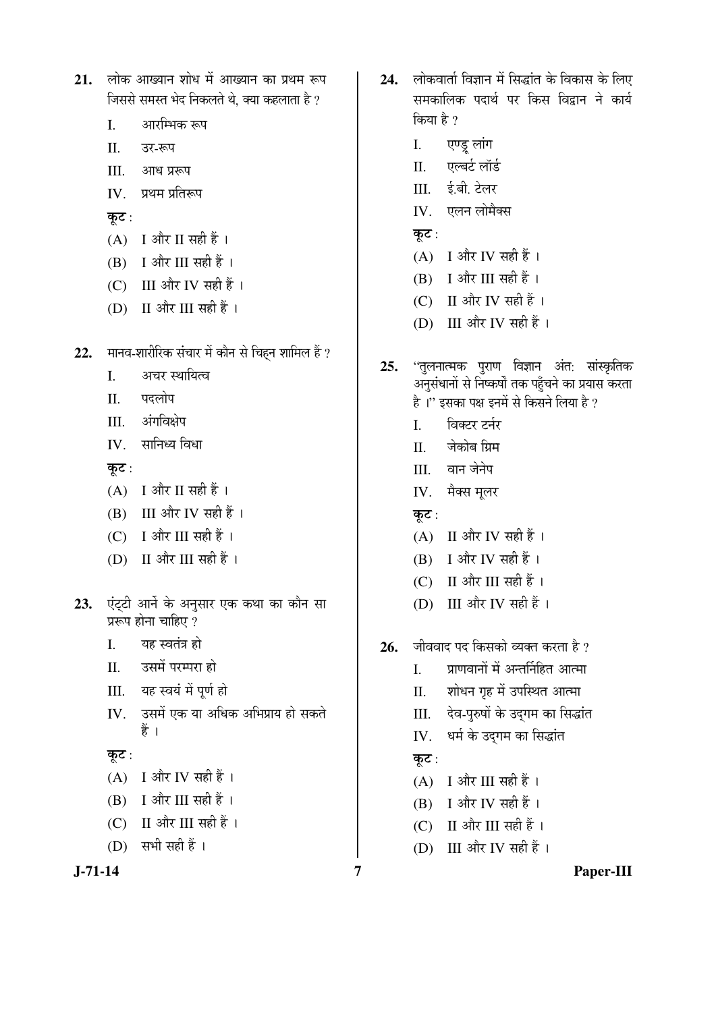| 21. |       | लोक आख्यान शोध में आख्यान का प्रथम रूप<br>जिससे समस्त भेद निकलते थे, क्या कहलाता है ? |
|-----|-------|---------------------------------------------------------------------------------------|
|     | I.    | आरम्भिक रूप                                                                           |
|     |       | II. उर-रूप                                                                            |
|     |       | III. आध प्ररूप                                                                        |
|     |       | IV. प्रथम प्रतिरूप                                                                    |
|     | कूट : |                                                                                       |
|     |       | (A) I और II सही हैं।                                                                  |
|     |       | (B) I और III सही हैं ।                                                                |
|     |       | (C) III और IV सही हैं ।                                                               |
|     |       | (D) II और III सही हैं ।                                                               |
| 22. |       | मानव-शारीरिक संचार में कौन से चिहन शामिल हैं ?                                        |
|     | I.    | अचर स्थायित्व                                                                         |
|     |       | II. पदलोप                                                                             |
|     |       | III. अंगविक्षेप                                                                       |
|     |       | IV. सानिध्य विधा                                                                      |
|     | कूट : |                                                                                       |
|     |       | (A) I और II सही हैं।                                                                  |
|     |       | (B) III और IV सही हैं।                                                                |
|     |       | (C) I और III सही हैं ।                                                                |
|     |       | (D) II और III सही हैं ।                                                               |
|     |       | 23. एंट्टी आर्ने के अनुसार एक कथा का कौन सा<br>प्ररूप होना चाहिए ?                    |
|     | I.    | यह स्वतंत्र हो                                                                        |
|     | П.    | उसमें परम्परा हो                                                                      |
|     |       | III. यह स्वयं में पूर्ण हो                                                            |
|     |       | IV. उसमें एक या अधिक अभिप्राय हो सकते<br>हैं ।                                        |
|     | कूट : |                                                                                       |
|     |       | (A) I और IV सही हैं ।                                                                 |
|     | (B)   | I और III सही हैं ।                                                                    |
|     | (C)   | II और III सही हैं ।                                                                   |
|     |       | (D) सभी सही हैं ।                                                                     |
|     |       |                                                                                       |

- 24. लोकवार्ता विज्ञान में सिद्धांत के विकास के लिए समकालिक पदार्थ पर किस विद्रान ने कार्य किया है ?
	- एण्ड्र लांग I.
	- एल्बर्ट लॉर्ड II.
	- III. ई.बी. टेलर
	- IV. एलन लोमैक्स
	- कूट:
	- $(A)$  I और IV सही हैं।
	- $(B)$  I और III सही हैं।
	- (C) II और IV सही हैं।
	- (D) III और IV सही हैं।
- ''तुलनात्मक पुराण विज्ञान अंत: सांस्कृतिक  $25.$ अनुसंधानों से निष्कर्षों तक पहुँचने का प्रयास करता है।" इसका पक्ष इनमें से किसने लिया है ?
	- विक्टर टर्नर  $\mathbf{I}$ .
	- जेकोब ग्रिम  $\Pi$ .
	- III. वान जेनेप
	- IV. मैक्स मूलर
	- कूट:
	- $(A)$  II और IV सही हैं।
	- (B) I और IV सही हैं।
	- (C) II और III सही हैं।
	- (D) III और IV सही हैं।
- जीववाद पद किसको व्यक्त करता है ? 26.
	- प्राणवानों में अन्तर्निहित आत्मा  $\mathbf{I}$ .
	- शोधन गृह में उपस्थित आत्मा  $\Pi$ .
	- III. देव-पुरुषों के उद्गम का सिद्धांत
	- IV. धर्म के उद्गम का सिद्धांत

# कूट:

- $(A)$  I और III सही हैं।
- (B) I और IV सही हैं।
- $(C)$  II और III सही हैं।
- (D) III और IV सही हैं।

 $J - 71 - 14$ 

Paper-III

 $\overline{7}$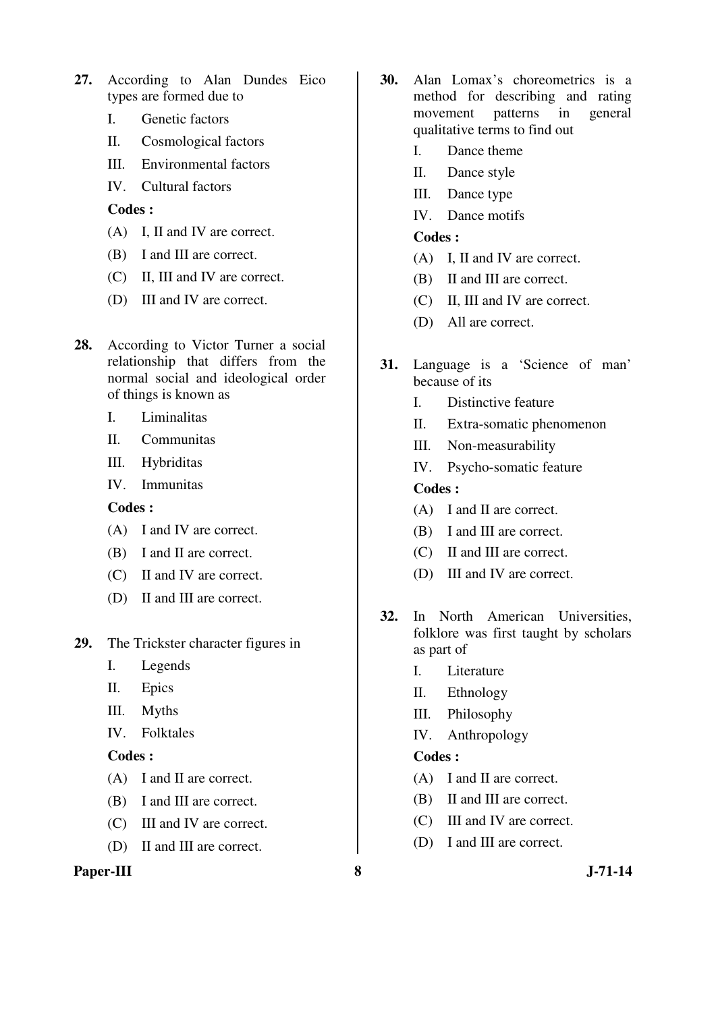- **27.** According to Alan Dundes Eico types are formed due to
	- I. Genetic factors
	- II. Cosmological factors
	- III. Environmental factors
	- IV. Cultural factors

- (A) I, II and IV are correct.
- (B) I and III are correct.
- (C) II, III and IV are correct.
- (D) III and IV are correct.
- **28.** According to Victor Turner a social relationship that differs from the normal social and ideological order of things is known as
	- I. Liminalitas
	- II. Communitas
	- III. Hybriditas
	- IV. Immunitas

**Codes :** 

- (A) I and IV are correct.
- (B) I and II are correct.
- (C) II and IV are correct.
- (D) II and III are correct.
- **29.** The Trickster character figures in
	- I. Legends
	- II. Epics
	- III. Myths
	- IV. Folktales

## **Codes :**

- (A) I and II are correct.
- (B) I and III are correct.
- (C) III and IV are correct.
- (D) II and III are correct.

#### **Paper-III** 8 J-71-14

- **30.** Alan Lomax's choreometrics is a method for describing and rating movement patterns in general qualitative terms to find out
	- I. Dance theme
	- II. Dance style
	- III. Dance type
	- IV. Dance motifs

#### **Codes :**

- (A) I, II and IV are correct.
- (B) II and III are correct.
- (C) II, III and IV are correct.
- (D) All are correct.
- **31.** Language is a 'Science of man' because of its
	- I. Distinctive feature
	- II. Extra-somatic phenomenon
	- III. Non-measurability
	- IV. Psycho-somatic feature

## **Codes :**

- (A) I and II are correct.
- (B) I and III are correct.
- (C) II and III are correct.
- (D) III and IV are correct.
- **32.** In North American Universities, folklore was first taught by scholars as part of
	- I. Literature
	- II. Ethnology
	- III. Philosophy
	- IV. Anthropology

- (A) I and II are correct.
- (B) II and III are correct.
- (C) III and IV are correct.
- (D) I and III are correct.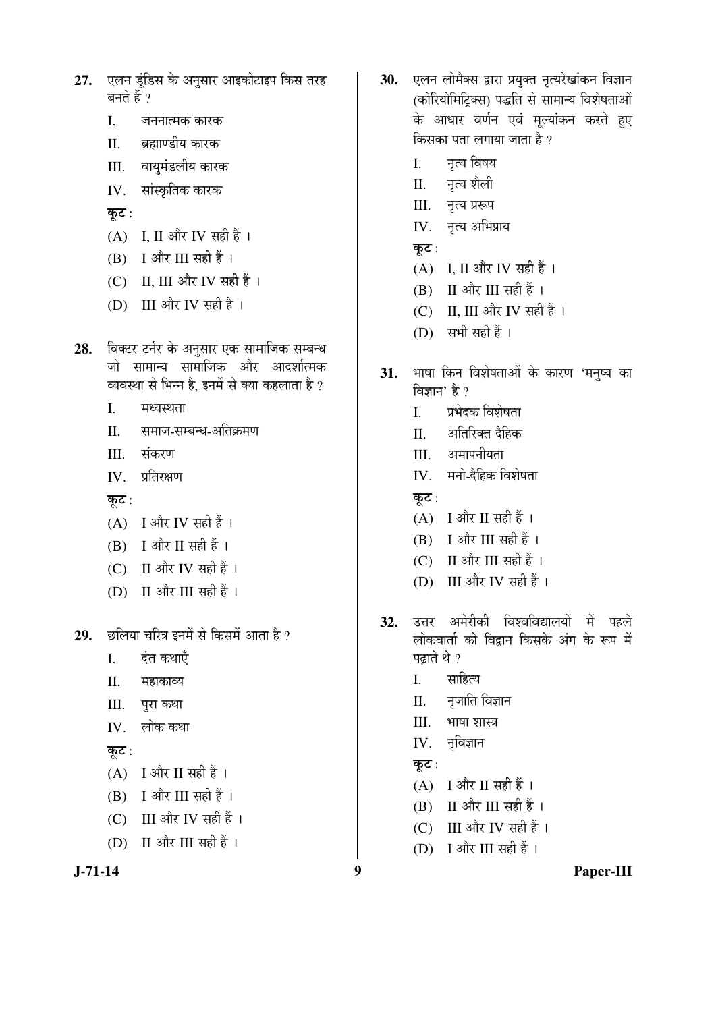- 27. एलन डुंडिस के अनुसार आइकोटाइप किस तरह बनते हैं ?
	- $\overline{L}$ जननात्मक कारक
	- ब्रह्माण्डीय कारक  $\Pi$ .
	- वायुमंडलीय कारक III.
	- IV. सांस्कृतिक कारक
	- कूट:
	- $(A)$  I. II और IV सही हैं।
	- $(B)$  I और III सही हैं।
	- (C) II, III और IV सही हैं।
	- (D) III और IV सही हैं।
- विक्टर टर्नर के अनुसार एक सामाजिक सम्बन्ध 28. जो सामान्य सामाजिक और आदर्शात्मक व्यवस्था से भिन्न है, इनमें से क्या कहलाता है ?
	- $\overline{L}$ मध्यस्थता
	- समाज-सम्बन्ध-अतिक्रमण  $\Pi$ .
	- संकरण III.
	- प्रतिरक्षण IV.

कुट :

- $(A)$  I और IV सही हैं।
- $(B)$  I और II सही हैं।
- (C) II और IV सही हैं ।
- (D) II और III सही हैं ।
- 29. छलिया चरित्र इनमें से किसमें आता है ?
	- $\mathbf{I}$ . दंत कथाएँ
	- $\Pi$ महाकाव्य
	- III. पुरा कथा
	- लोक कथा IV.

कुट:

- $(A)$  I और II सही हैं।
- $(B)$  I और III सही हैं।
- $(C)$  III और IV सही हैं।
- (D) II और III सही हैं।

```
J-71-14
```
- 30. एलन लोमैक्स द्वारा प्रयुक्त नृत्यरेखांकन विज्ञान (कोरियोमिट्क्सि) पद्धति से सामान्य विशेषताओं के आधार वर्णन एवं मूल्यांकन करते हुए किसका पता लगाया जाता है ?
	- $\mathbf{L}$ नृत्य विषय
	- नृत्य शैली  $\Pi$ .
	- III. नृत्य प्ररूप
	- IV. नृत्य अभिप्राय
	- कुट:
	- (A) I, II और IV सही हैं।
	- $(B)$  II और III सही हैं।
	- $(C)$  II. III और IV सही हैं।
	- $(D)$  सभी सही हैं।
- 31. भाषा किन विशेषताओं के कारण 'मनुष्य का विज्ञान' है ?
	- प्रभेदक विशेषता  $\mathbf{L}$
	- अतिरिक्त दैहिक II.
	- अमापनीयता III.
	- IV. मनो-दैहिक विशेषता
	- कट $:$
	- $(A)$  I और II सही हैं।
	- $(B)$  I और III सही हैं।
	- (C) II और III सही हैं।
	- (D) III और IV सही हैं।
- उत्तर अमेरीकी विश्वविद्यालयों में पहले 32. लोकवार्ता को विद्वान किसके अंग के रूप में पत्नाते थे ?
	- साहित्य I.
	- नृजाति विज्ञान  $\Pi$ .
	- $III.$ भाषा शास्त्र
	- IV. नृविज्ञान

# कूट $:$

 $\boldsymbol{9}$ 

- $(A)$  I और II सही हैं।
- $(B)$  II और III सही हैं।
- (C) III और IV सही हैं।
- (D) I और III सही हैं।

Paper-III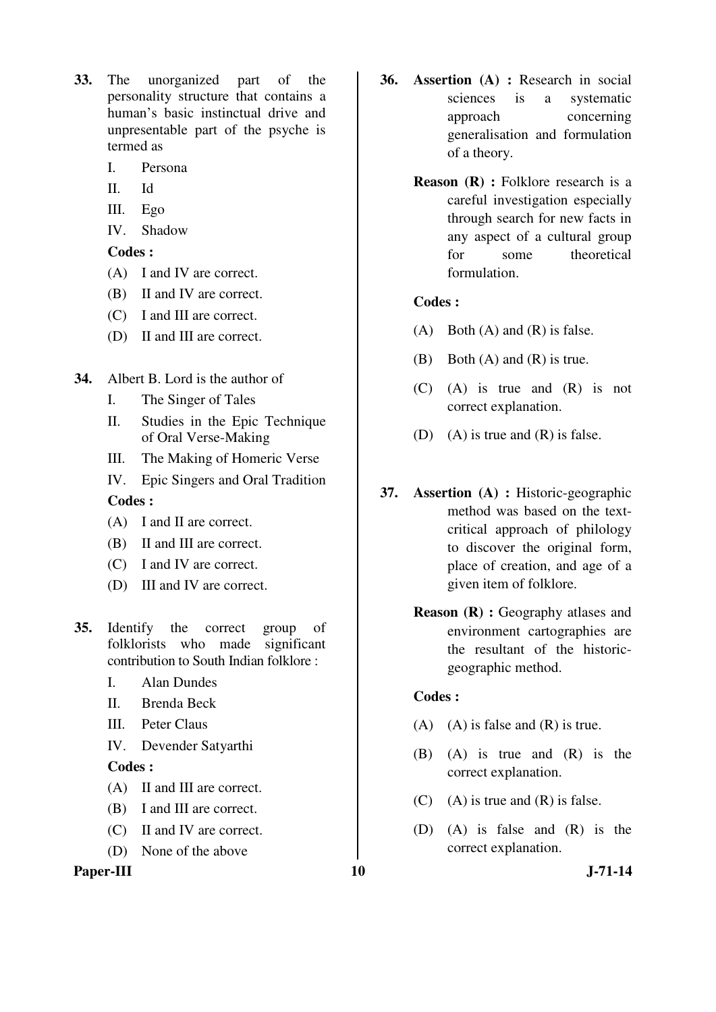- **33.** The unorganized part of the personality structure that contains a human's basic instinctual drive and unpresentable part of the psyche is termed as
	- I. Persona
	- II. Id
	- III. Ego
	- IV. Shadow

- (A) I and IV are correct.
- (B) II and IV are correct.
- (C) I and III are correct.
- (D) II and III are correct.
- **34.** Albert B. Lord is the author of
	- I. The Singer of Tales
	- II. Studies in the Epic Technique of Oral Verse-Making
	- III. The Making of Homeric Verse
	- IV. Epic Singers and Oral Tradition

#### **Codes :**

- (A) I and II are correct.
- (B) II and III are correct.
- (C) I and IV are correct.
- (D) III and IV are correct.
- **35.** Identify the correct group of folklorists who made significant contribution to South Indian folklore :
	- I. Alan Dundes
	- II. Brenda Beck
	- III. Peter Claus
	- IV. Devender Satyarthi

#### **Codes :**

- (A) II and III are correct.
- (B) I and III are correct.
- (C) II and IV are correct.
- (D) None of the above

#### Paper-III 10 J-71-14

- **36. Assertion (A) :** Research in social sciences is a systematic approach concerning generalisation and formulation of a theory.
	- **Reason (R) :** Folklore research is a careful investigation especially through search for new facts in any aspect of a cultural group for some theoretical formulation.

#### **Codes :**

- $(A)$  Both  $(A)$  and  $(R)$  is false.
- (B) Both (A) and (R) is true.
- (C) (A) is true and (R) is not correct explanation.
- (D) (A) is true and (R) is false.
- **37. Assertion (A) :** Historic-geographic method was based on the textcritical approach of philology to discover the original form, place of creation, and age of a given item of folklore.
	- **Reason (R) :** Geography atlases and environment cartographies are the resultant of the historicgeographic method.

- $(A)$   $(A)$  is false and  $(R)$  is true.
- (B) (A) is true and (R) is the correct explanation.
- $(C)$  (A) is true and  $(R)$  is false.
- (D) (A) is false and (R) is the correct explanation.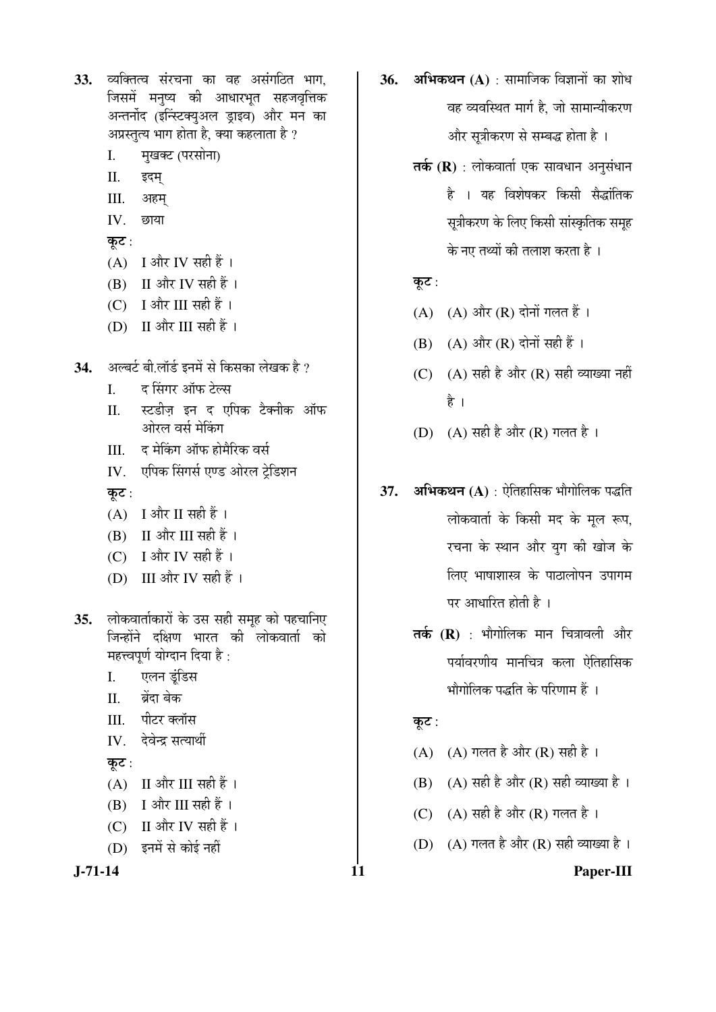33. व्यक्तित्व संरचना का वह असंगठित भाग. जिसमें मनृष्य की आधारभृत सहजवृत्तिक अन्तर्नोद (इन्स्टिक्युअल ड्राइव) और मन का अप्रस्तुत्य भाग होता है, क्या कहलाता है ?

- मुखक्ट (परसोना)  $\mathbf{I}$ .
- $II.$ इदम्
- III. अहम्
- $\mathbf{I} \mathbf{V}$ छाया
- कूट:
- $(A)$  I और IV सही हैं।
- $(B)$  II और IV सही हैं।
- $(C)$  I और III सही हैं।
- (D) II और III सही हैं।
- अल्बर्ट बी.लॉर्ड इनमें से किसका लेखक है ? 34.
	- द सिंगर ऑफ टेल्स  $\mathbf{L}$
	- स्टडीज़ इन द एपिक टैक्नीक ऑफ  $II.$ ओरल वर्स मेकिंग
	- द मेकिंग ऑफ होमैरिक वर्स III.
	- एपिक सिंगर्स एण्ड ओरल ट्रेडिशन IV.
	- कुट:
	- $(A)$  I और II सही हैं।
	- (B) II और III सही हैं।
	- (C) I और IV सही हैं।
	- (D) III और IV सही हैं।
- लोकवार्ताकारों के उस सही समूह को पहचानिए  $35.$ जिन्होंने दक्षिण भारत की लोकवार्ता को महत्त्वपूर्ण योग्दान दिया है:
	- I. एलन डुंडिस
	- बेंदा बेक  $\Pi$ .
	- पीटर क्लॉस  $III.$
	- देवेन्द्र सत्यार्थी IV.

## कुट:

- $(A)$  II और III सही हैं।
- $(B)$  I और III सही हैं।
- $(C)$  II और IV सही हैं।
- (D) इनमें से कोई नहीं

```
J-71-14
```
- $36.$  अभिकथन  $(A)$ : सामाजिक विज्ञानों का शोध वह व्यवस्थित मार्ग है. जो सामान्यीकरण और सूत्रीकरण से सम्बद्ध होता है ।
	- तर्क (R) : लोकवार्ता एक सावधान अनुसंधान है । यह विशेषकर किसी सैद्धांतिक सूत्रीकरण के लिए किसी सांस्कृतिक समूह के नए तथ्यों की तलाश करता है ।

## कूट:

- $(A)$   $(A)$  और  $(R)$  दोनों गलत हैं।
- (B)  $(A)$  और  $(R)$  दोनों सही हैं।
- (C)  $(A)$  सही है और  $(R)$  सही व्याख्या नहीं है ।
- (D) (A) सही है और (R) गलत है।
- अभिकथन (A) : ऐतिहासिक भौगोलिक पद्धति  $37.$ लोकवार्ता के किसी मद के मल रूप. रचना के स्थान और युग की खोज के लिए भाषाशास्त्र के पाठालोपन उपागम पर आधारित होती है।
	- $\overline{\mathsf{a}}$ र्क (R) : भौगोलिक मान चित्रावली और पर्यावरणीय मानचित्र कला ऐतिहासिक भौगोलिक पद्धति के परिणाम हैं ।

## कूट :

- $(A)$   $(A)$  गलत है और  $(R)$  सही है।
- (B) (A) सही है और (R) सही व्याख्या है।
- $(C)$   $(A)$  सही है और  $(R)$  गलत है।
- (D) (A) गलत है और (R) सही व्याख्या है।

# Paper-III

11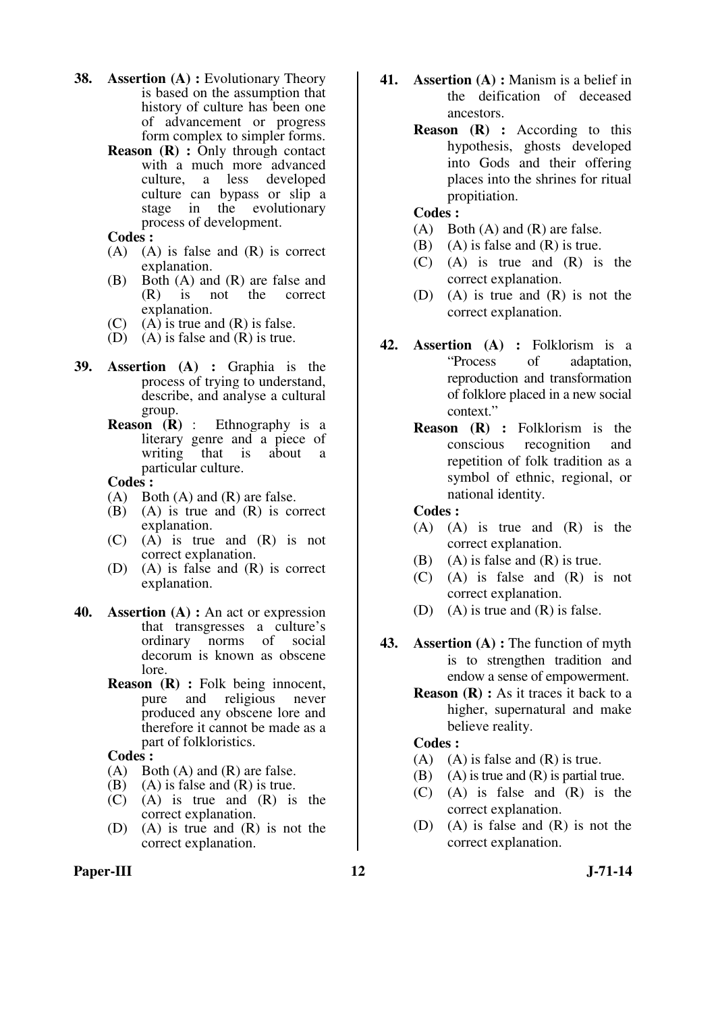- **38. Assertion (A) :** Evolutionary Theory is based on the assumption that history of culture has been one of advancement or progress form complex to simpler forms.
	- **Reason (R) :** Only through contact with a much more advanced<br>culture. a less developed a less developed culture can bypass or slip a stage in the evolutionary process of development.
	- **Codes :**
	- (A) (A) is false and (R) is correct explanation.
	- (B) Both (A) and (R) are false and<br>(R) is not the correct correct explanation.
	- $(C)$  (A) is true and  $(R)$  is false.
	- (D) (A) is false and (R) is true.
- **39. Assertion (A) :** Graphia is the process of trying to understand, describe, and analyse a cultural  $\begin{array}{c}\n\text{group.} \\
\text{Reason} & (\mathbf{R})\n\end{array}$ :
	- **Ethnography** is a literary genre and a piece of<br>writing that is about a  $\overline{\phantom{a}}$  that is about a particular culture.

- (A) Both (A) and (R) are false.
- $(B)$   $(A)$  is true and  $(R)$  is correct explanation.
- (C) (A) is true and (R) is not correct explanation.
- (D) (A) is false and (R) is correct explanation.
- **40. Assertion (A) :** An act or expression that transgresses a culture's norms of social decorum is known as obscene lore.
	- **Reason (R) :** Folk being innocent, pure and religious never produced any obscene lore and therefore it cannot be made as a part of folkloristics.

#### **Codes :**

- (A) Both (A) and (R) are false.
- $(B)$  (A) is false and  $(R)$  is true.
- (C) (A) is true and (R) is the correct explanation.
- (D) (A) is true and (R) is not the correct explanation.
- **41. Assertion (A) :** Manism is a belief in the deification of deceased ancestors.
	- **Reason (R) :** According to this hypothesis, ghosts developed into Gods and their offering places into the shrines for ritual propitiation.

#### **Codes :**

- (A) Both (A) and (R) are false.
- (B) (A) is false and (R) is true.
- (C) (A) is true and (R) is the correct explanation.
- (D) (A) is true and (R) is not the correct explanation.
- **42. Assertion (A) :** Folklorism is a "Process of adaptation, reproduction and transformation of folklore placed in a new social context."
	- **Reason (R) :** Folklorism is the conscious recognition and repetition of folk tradition as a symbol of ethnic, regional, or national identity.

 **Codes :** 

- (A) (A) is true and (R) is the correct explanation.
- (B) (A) is false and  $(R)$  is true.
- (C) (A) is false and (R) is not correct explanation.
- (D) (A) is true and (R) is false.
- **43. Assertion (A) :** The function of myth is to strengthen tradition and endow a sense of empowerment.
	- **Reason (R) :** As it traces it back to a higher, supernatural and make believe reality.

- $(A)$   $(A)$  is false and  $(R)$  is true.
- (B) (A) is true and  $(R)$  is partial true.
- (C) (A) is false and (R) is the correct explanation.
- (D) (A) is false and (R) is not the correct explanation.
- Paper-III 12 J-71-14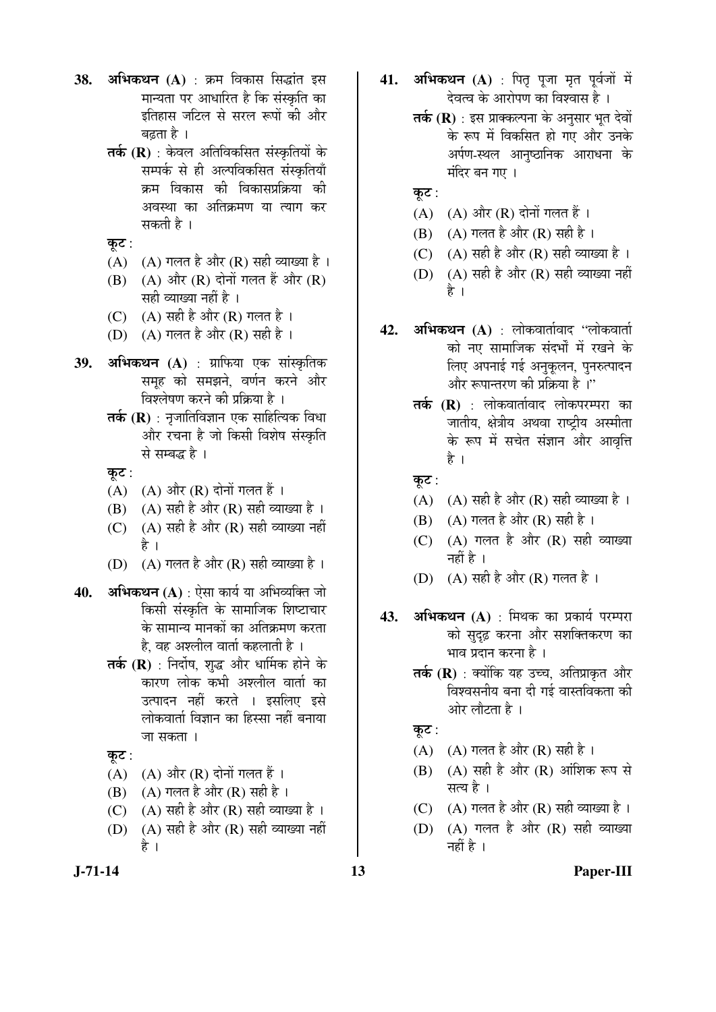- **38. अभिकथन (A)** : क्रम विकास सिद्धांत इस मान्यता पर आधारित है कि संस्कृति का इतिहास जटिल से सरल रूपों की और बढ़ता है ।
	- **तर्क (R)** : केवल अतिविकसित संस्कृतियों के सम्पर्क से ही अल्पविकसित संस्कृतियाँ क्रम विकास की विकासप्रक्रिया की अवस्था का अतिक्रमण या त्याग कर सकती है ।
	- कुट $:$
	- $(A)$   $(A)$  गलत है और  $(R)$  सही व्याख्या है ।
	- $(B)$   $(A)$  और  $(R)$  दोनों गलत हैं और  $(R)$ सही व्याख्या नहीं है ।
	- (C)  $(A)$  सही है और (R) गलत है।
	- (D) (A) गलत है और (R) सही है ।
- 39. अभिकथन (A) : ग्राफिया एक सांस्कृतिक समूह को समझने, वर्णन करने और िवश्लेषण करने की प्रक्रिया है ।
	- **तर्क (R)** : नजातिविज्ञान एक साहित्यिक विधा और रचना है जो किसी विशेष संस्कृति से सम्बद्ध है ।
	- कुट:
	- $(A)$   $(A)$  और  $(R)$  दोनों गलत हैं।
	- (B)  $(A)$  सही है और  $(R)$  सही व्याख्या है ।
	- $(C)$   $(A)$  सही है और  $(R)$  सही व्याख्या नहीं है ।
	- (D)  $(A)$  गलत है और  $(R)$  सही व्याख्या है।
- **40. अभिकथन (A)** : ऐसा कार्य या अभिव्यक्ति जो किसी संस्कृति के सामाजिक शिष्टाचार के सामान्य मानकों का अतिक्रमण करता है, वह अश्लील वार्ता कहलाती है ।
	- **तर्क (R)** : निर्दोष, शुद्ध और धार्मिक होने के कारण लोक कभी अश्लील वार्ता का उत्पादन नहीं करते । इसलिए इसे लोकवार्ता विज्ञान का हिस्सा नहीं बनाया जा सकता ।
	- कूट :
	- $(A)$   $(A)$  और  $(R)$  दोनों गलत हैं।
	- (B)  $(A)$  गलत है और (R) सही है ।
	- (C)  $(A)$  सही है और  $(R)$  सही व्याख्या है ।
	- $(D)$   $(A)$  सही है और  $(R)$  सही व्याख्या नहीं है ।
	-
- 41. अभिकथन (A) : पितृ पूजा मृत पूर्वजों में देवत्व के आरोपण का विश्वास है ।
	- **तर्क (R)** : इस प्राक्कल्पना के अनुसार भूत देवों के रूप में विकसित हो गए और उनके अर्पण-स्थल आनृष्ठानिक आराधना के  $\dot{H}$ दिर बन गए ।
	- कूट:
	- $(A)$   $(A)$  और  $(R)$  दोनों गलत हैं।
	- $(B)$   $(A)$  गलत है और  $(R)$  सही है ।
	- (C)  $(A)$  सही है और (R) सही व्याख्या है ।
	- $(D)$   $(A)$  सही है और  $(R)$  सही व्याख्या नहीं है ।
- **42. अभिकथन (A)** : लोकवार्तावाद "लोकवार्ता को नए सामाजिक संदर्भों में रखने के लिए अपनाई गई अनुकूलन, पुनरुत्पादन और रूपान्तरण की प्रक्रिया है<sup>ं,</sup>'
	- **तर्क (R)** : लोकवार्तावाद लोकपरम्परा का जातीय, क्षेत्रीय अथवा राष्ट्रीय अस्मीता के रूप में सचेत संज्ञान और आवत्ति है ।
	- कूट:
	- (A)  $(A)$  सही है और (R) सही व्याख्या है ।
	- (B)  $(A)$  गलत है और (R) सही है ।
	- $(C)$   $(A)$  गलत है और  $(R)$  सही व्याख्या नहीं है ।
	- (D)  $(A)$  सही है और  $(R)$  गलत है।
- **43. अभिकथन (A)** : मिथक का प्रकार्य परम्परा को सुदुढ़ करना और सशक्तिकरण का भाव प्रदान करना है ।
	- **तर्क (R)** : क्योंकि यह उच्च, अतिप्राकृत और विश्वसनीय बना दी गई वास्तविकता की ओर लौटता है ।

कुट $:$ 

- (A)  $(A)$  गलत है और (R) सही है।
- $(B)$   $(A)$  सही है और  $(R)$  ऑशिक रूप से सत्य है ।
- (C)  $(A)$  गलत है और  $(R)$  सही व्याख्या है।
- $(D)$   $(A)$  गलत है और  $(R)$  सही व्याख्या नहीं है ।

## **J-71-14 13 Paper-III**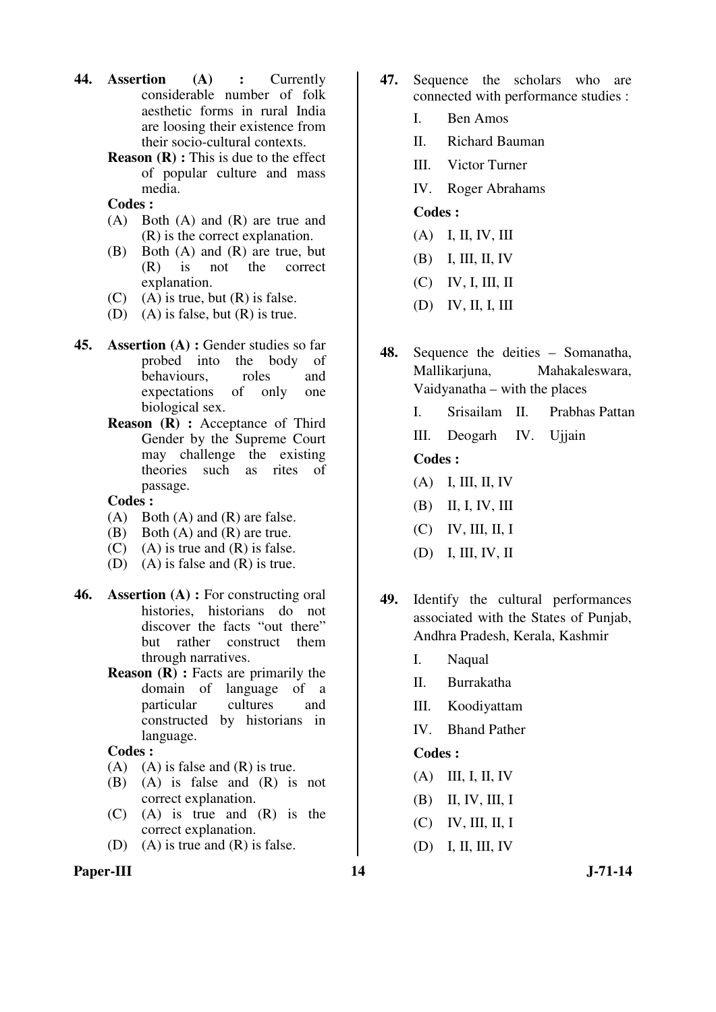- **44. Assertion (A) :** Currently considerable number of folk aesthetic forms in rural India are loosing their existence from their socio-cultural contexts.
	- **Reason (R) :** This is due to the effect of popular culture and mass media.
	- **Codes :**
	- (A) Both (A) and (R) are true and (R) is the correct explanation.
	- (B) Both (A) and (R) are true, but (R) is not the correct explanation.
	- $(C)$  (A) is true, but  $(R)$  is false.
	- (D) (A) is false, but (R) is true.
- **45. Assertion (A) :** Gender studies so far probed into the body of behaviours, roles and expectations of only one biological sex.
	- **Reason (R) :** Acceptance of Third Gender by the Supreme Court may challenge the existing theories such as rites of passage.

- (A) Both (A) and (R) are false.
- (B) Both (A) and (R) are true.
- $(C)$  (A) is true and  $(R)$  is false.
- (D) (A) is false and (R) is true.
- **46. Assertion (A) :** For constructing oral histories, historians do not discover the facts "out there" but rather construct them through narratives.
	- **Reason (R) :** Facts are primarily the domain of language of a particular cultures and constructed by historians in language.

#### **Codes :**

- $(A)$   $(A)$  is false and  $(R)$  is true.
- (B) (A) is false and (R) is not correct explanation.
- (C) (A) is true and (R) is the correct explanation.
- (D) (A) is true and (R) is false.

## Paper-III 14 J-71-14

- **47.** Sequence the scholars who are connected with performance studies :
	- I. Ben Amos
	- II. Richard Bauman
	- III. Victor Turner
	- IV. Roger Abrahams

## **Codes :**

- (A) I, II, IV, III
- (B) I, III, II, IV
- (C) IV, I, III, II
- (D) IV, II, I, III

**48.** Sequence the deities – Somanatha, Mallikarjuna, Mahakaleswara, Vaidyanatha – with the places

- I. Srisailam II. Prabhas Pattan
- III. Deogarh IV. Ujjain

## **Codes :**

- (A) I, III, II, IV
- (B) II, I, IV, III
- (C) IV, III, II, I
- (D) I, III, IV, II
- **49.** Identify the cultural performances associated with the States of Punjab, Andhra Pradesh, Kerala, Kashmir
	- I. Naqual
	- II. Burrakatha
	- III. Koodiyattam
	- IV. Bhand Pather

- (A) III, I, II, IV
- (B) II, IV, III, I
- (C) IV, III, II, I
- (D) I, II, III, IV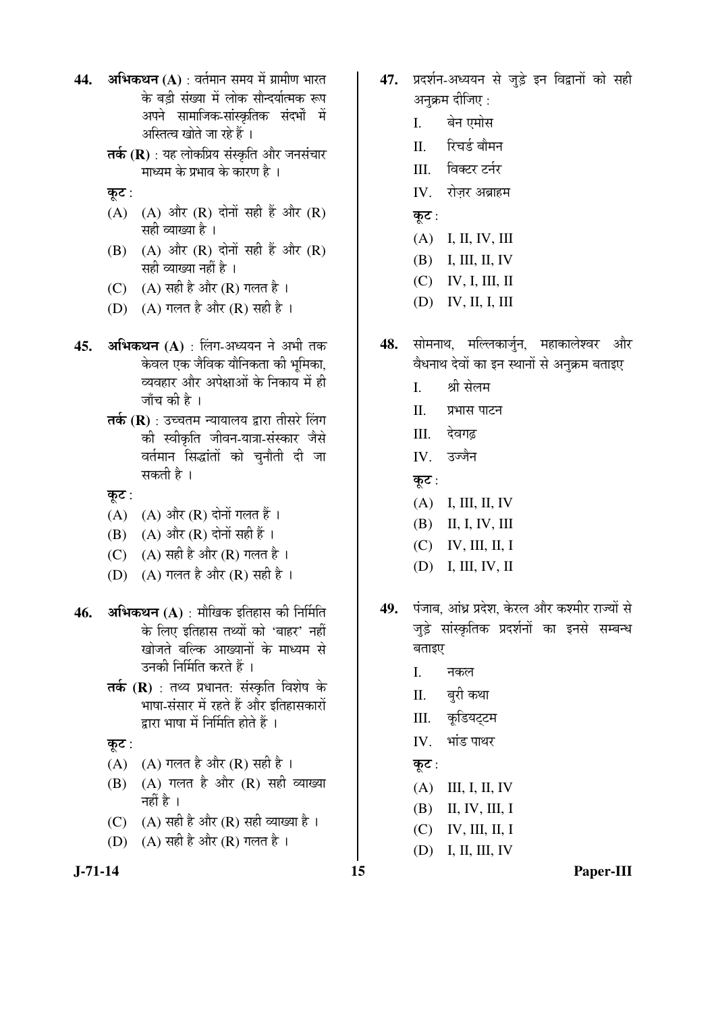- **44. अभिकथन (A)** : वर्तमान समय में ग्रामीण भारत के बड़ी संख्या में लोक सौन्दर्यात्मक रूप अपने सामाजिक-सांस्कृतिक संदर्भों में अस्तित्व खोते जा रहे हैं ।
	- **तर्क (R)** : यह लोकप्रिय संस्कृति और जनसंचार माध्यम के प्रभाव के कारण है ।
	- कूट:
	- $(A)$   $(A)$  और  $(R)$  दोनों सही हैं और  $(R)$ सही व्याख्या है ।
	- $(B)$   $(A)$  और  $(R)$  दोनों सही हैं और  $(R)$ सही व्याख्या नहीं है ।
	- (C)  $(A)$  सही है और (R) गलत है ।
	- (D)  $(A)$  गलत है और (R) सही है।
- 45. **अभिकथन (A)** : लिंग-अध्ययन ने अभी तक केवल एक जैविक यौनिकता की भूमिका, व्यवहार और अपेक्षाओं के निकाय में ही जाँच की है ।
	- **तर्क (R)** : उच्चतम न्यायालय द्रारा तीसरे लिंग की स्वीकृति जीवन-यात्रा-संस्कार जैसे वर्तमान सिद्धांतों को चनौती दी जा सकती है ।

कूट:

- $(A)$   $(A)$  और  $(R)$  दोनों गलत हैं।
- $(B)$   $(A)$  और  $(R)$  दोनों सही हैं।
- (C)  $(A)$  सही है और (R) गलत है।
- (D)  $(A)$  गलत है और  $(R)$  सही है।
- **46. अभिकथन (A)** : मौखिक इतिहास की निर्मिति के लिए इतिहास तथ्यों को 'बाहर' नहीं खोजते बल्कि आख्यानों के माध्यम से उनकी निर्मिति करते हैं ।
	- **तर्क (R)** : तथ्य प्रधानत: संस्कृति विशेष के भाषा-संसार में रहते हैं और इतिहासकारों द्वारा भाषा में निर्मिति होते हैं ।

कुट $:$ 

- (A)  $(A)$  गलत है और (R) सही है ।
- $(B)$   $(A)$  गलत है और  $(R)$  सही व्याख्या नहीं है $\perp$
- (C)  $(A)$  सही है और (R) सही व्याख्या है ।
- (D)  $(A)$  सही है और  $(R)$  गलत है।
- 47. प्रदर्शन-अध्ययन से जुड़े इन विद्वानों को सही अनक्रम दीजिए :
	- I. बेन एमोस
	- II. रिचर्ड बौमन
	- $III$  विक्टर टर्नर
	- $IV.$  रोजर अब्राहम
	- कूट:
	- (A) I, II, IV, III
	- (B) I, III, II, IV
	- (C) IV, I, III, II
	- (D) IV, II, I, III
- 48. सोमनाथ, मल्लिकार्जुन, महाकालेश्वर और वैधनाथ देवों का इन स्थानों से अनुक्रम बताइए
	- I. श्री सेलम
	- II. प्रभास पाटन
	- III. देवगढ
	- $IV$   $\overrightarrow{3}$ उज्जैन

कूट $:$ 

- (A) I, III, II, IV
- (B) II, I, IV, III
- (C) IV, III, II, I
- (D) I, III, IV, II
- **49.** ¯ÖÓ•ÖÖ²Ö, †ÖÓ¬ÖÐ ¯ÖϤêü¿Ö, Ûêú¸ü»Ö †Öî¸ü Ûú¿´Ö߸ü ¸üÖ•µÖÖë ÃÖê जुड़े सांस्कृतिक प्रदर्शनों का इनसे सम्बन्ध बताइए
	- I. नकल
	- II. बुरी कथा
	- III. कडियटटम
	- IV. भांड पाथर
	- कूट $:$
	- (A) III, I, II, IV
	- (B) II, IV, III, I
	- (C) IV, III, II, I
	- (D) I, II, III, IV

**J-71-14 15 Paper-III**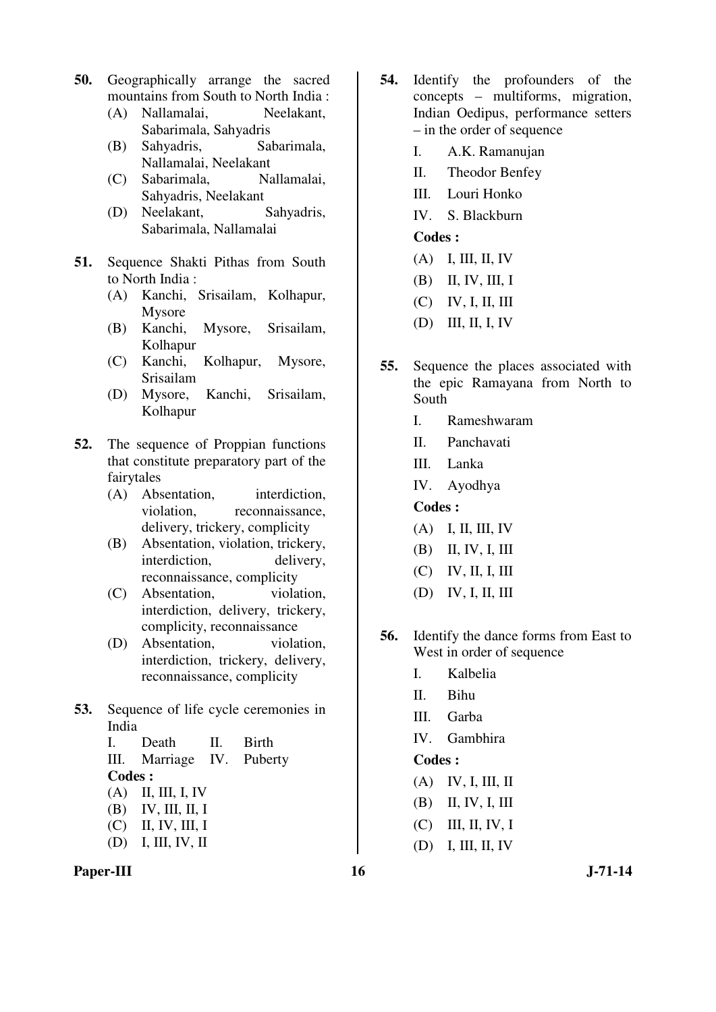- **50.** Geographically arrange the sacred mountains from South to North India :
	- (A) Nallamalai, Neelakant, Sabarimala, Sahyadris
	- (B) Sahyadris, Sabarimala, Nallamalai, Neelakant
	- (C) Sabarimala, Nallamalai, Sahyadris, Neelakant
	- (D) Neelakant, Sahyadris, Sabarimala, Nallamalai
- **51.** Sequence Shakti Pithas from South to North India :
	- (A) Kanchi, Srisailam, Kolhapur, Mysore
	- (B) Kanchi, Mysore, Srisailam, Kolhapur
	- (C) Kanchi, Kolhapur, Mysore, Srisailam
	- (D) Mysore, Kanchi, Srisailam, Kolhapur
- **52.** The sequence of Proppian functions that constitute preparatory part of the fairytales
	- (A) Absentation, interdiction, violation, reconnaissance, delivery, trickery, complicity
	- (B) Absentation, violation, trickery, interdiction, delivery, reconnaissance, complicity
	- (C) Absentation, violation, interdiction, delivery, trickery, complicity, reconnaissance
	- (D) Absentation, violation, interdiction, trickery, delivery, reconnaissance, complicity
- **53.** Sequence of life cycle ceremonies in India
	- I. Death II. Birth III. Marriage IV. Puberty **Codes :**  $(A)$  II, III, I, IV
	- (B) IV, III, II, I
	- (C) II, IV, III, I
	- (D) I, III, IV, II
- Paper-III 16 J-71-14
- **54.** Identify the profounders of the concepts – multiforms, migration, Indian Oedipus, performance setters – in the order of sequence
	- I. A.K. Ramanujan
	- II. Theodor Benfey
	- III. Louri Honko
	- IV. S. Blackburn

- (A) I, III, II, IV
- (B) II, IV, III, I
- (C) IV, I, II, III
- (D) III, II, I, IV
- **55.** Sequence the places associated with the epic Ramayana from North to South
	- I. Rameshwaram
	- II. Panchavati
	- III. Lanka
	- IV. Ayodhya

# **Codes :**

- (A) I, II, III, IV
- (B) II, IV, I, III
- (C) IV, II, I, III
- (D) IV, I, II, III
- **56.** Identify the dance forms from East to West in order of sequence
	- I. Kalbelia
	- II. Bihu
	- III. Garba
	- IV. Gambhira

- (A) IV, I, III, II
- (B) II, IV, I, III
- (C) III, II, IV, I
- (D) I, III, II, IV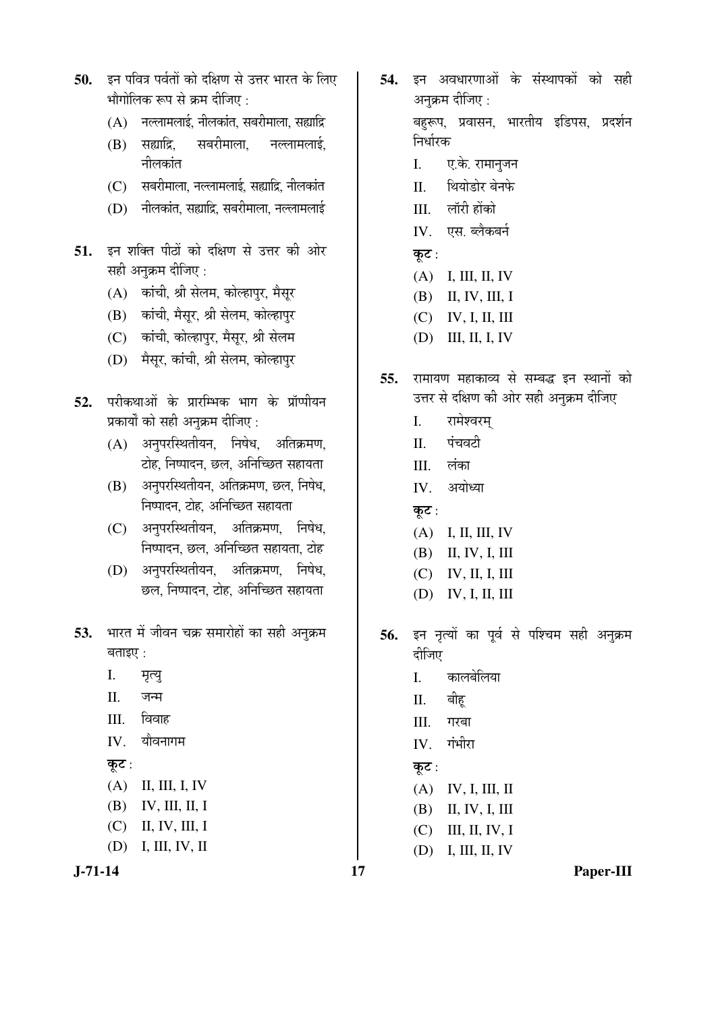- 50. इन पवित्र पर्वतों को दक्षिण से उत्तर भारत के लिए भौगोलिक रूप से क्रम दीजिए :
	- $(A)$  नल्लामलाई, नीलकांत, सबरीमाला, सह्याद्रि
	- (B) सह्याद्रि. सबरीमाला. नल्लामलाई. नीलकांत
	- $(C)$  सबरीमाला, नल्लामलाई, सह्याद्रि, नीलकांत
	- $(D)$  नीलकांत, सह्याद्रि, सबरीमाला, नल्लामलाई
- 51. इन शक्ति पीठों को दक्षिण से उत्तर की ओर सही अनुक्रम दीजिए :
	- (A) कांची, श्री सेलम, कोल्हापुर, मैसूर
	- (B) कांची, मैसुर, श्री सेलम, कोल्हापुर
	- (C) कांची, कोल्हापुर, मैसुर, श्री सेलम
	- (D) मैसुर, कांची, श्री सेलम, कोल्हापुर
- 52. परीकथाओं के प्रारम्भिक भाग के प्रॉप्पीयन प्रकार्यों को सही अनुक्रम दीजिए :
	- $(A)$  अनुपरस्थितीयन, निषेध, अतिक्रमण, टोह, निष्पादन, छल, अनिच्छित सहायता
	- (B) अनुपरस्थितीयन, अतिक्रमण, छल, निषेध, <u>निष्पादन, टोह, अनिच्छित सहायता</u>
	- (C) अनुपरस्थितीयन, अतिक्रमण, निषेध, <u>निष्पादन, छल, अनिच्छित सहायता, टोह</u>
	- (D) अनुपरस्थितीयन, अतिक्रमण, निषेध, छल, निष्पादन, टोह, अनिच्छित सहायता
- 53. भारत में जीवन चक्र समारोहों का सही अनुक्रम बताइए $\cdot$ 
	- I. मृत्यु
	- II. जन्म
	- $III.$  विवाह
	- $IV.$  यौवनागम
	- कूट :
	- (A) II, III, I, IV
	- (B) IV, III, II, I
	- (C) II, IV, III, I
	- (D) I, III, IV, II



- 54. इन अवधारणाओं के संस्थापकों को सही अनक्रम दीजिए : बहुरूप, प्रवासन, भारतीय इडिपस, प्रदर्शन निर्धारक
	- I. ए.के. रामानुजन
	- II. थियोडोर बेनफे
	- III. लॉरी होंको
	- IV. एस. ब्लैकबर्न
	- कूट :
	- (A) I, III, II, IV
	- (B) II, IV, III, I
	- (C) IV, I, II, III
	- (D) III, II, I, IV
- **55.** रामायण महाकाव्य से सम्बद्ध इन स्थानों को उत्तर से दक्षिण की ओर सही अनुक्रम दीजिए
	- I. रामेश्वरम्
	- $II$  पंचवटी
	- III. लंका
	- IV. अयोध्या
	- कूट:
	- (A) I, II, III, IV
	- (B) II, IV, I, III
	- (C) IV, II, I, III
	- (D) IV, I, II, III
- 56. इन नृत्यों का पूर्व से पश्चिम सही अनुक्रम दीजिए
	- I. कालबेलिया
	- II. बीह्
	- III. गरबा
	- $IV.$  गंभीरा
	- कुट $:$
	- (A) IV, I, III, II
	- (B) II, IV, I, III
	- (C) III, II, IV, I
	- (D) I, III, II, IV

**J-71-14 17 Paper-III**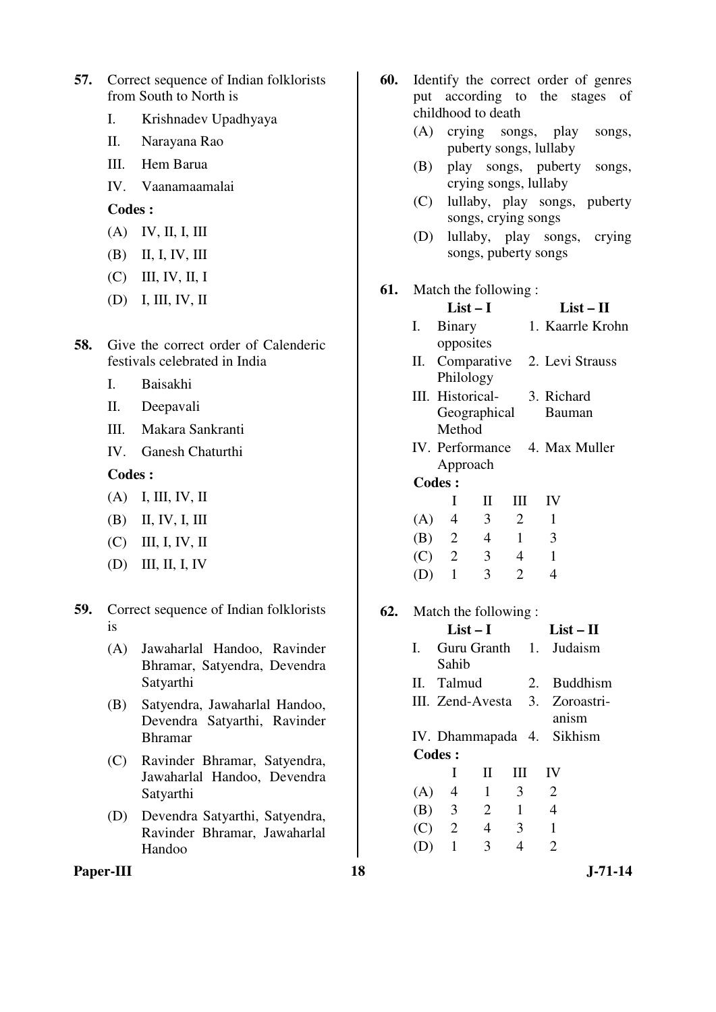- **57.** Correct sequence of Indian folklorists from South to North is
	- I. Krishnadev Upadhyaya
	- II. Narayana Rao
	- III. Hem Barua
	- IV. Vaanamaamalai

- (A) IV, II, I, III
- (B) II, I, IV, III
- (C) III, IV, II, I
- (D) I, III, IV, II
- **58.** Give the correct order of Calenderic festivals celebrated in India
	- I. Baisakhi
	- II. Deepavali
	- III. Makara Sankranti
	- IV. Ganesh Chaturthi

#### **Codes :**

- (A) I, III, IV, II
- (B) II, IV, I, III
- (C) III, I, IV, II
- (D) III, II, I, IV

## **59.** Correct sequence of Indian folklorists is

- (A) Jawaharlal Handoo, Ravinder Bhramar, Satyendra, Devendra Satyarthi
- (B) Satyendra, Jawaharlal Handoo, Devendra Satyarthi, Ravinder Bhramar
- (C) Ravinder Bhramar, Satyendra, Jawaharlal Handoo, Devendra Satyarthi
- (D) Devendra Satyarthi, Satyendra, Ravinder Bhramar, Jawaharlal Handoo
- **60.** Identify the correct order of genres put according to the stages of childhood to death
	- (A) crying songs, play songs, puberty songs, lullaby
	- (B) play songs, puberty songs, crying songs, lullaby
	- (C) lullaby, play songs, puberty songs, crying songs
	- (D) lullaby, play songs, crying songs, puberty songs

# **61.** Match the following :

|           | (D)           | I, III, IV, II                                                |     |                |                                  | $List-I$                         |                       |                                | $List - II$      |
|-----------|---------------|---------------------------------------------------------------|-----|----------------|----------------------------------|----------------------------------|-----------------------|--------------------------------|------------------|
|           |               |                                                               |     | Ι.             | Binary                           |                                  |                       |                                | 1. Kaarrle Krohn |
| 58.       |               | Give the correct order of Calenderic                          |     |                | opposites                        |                                  |                       |                                |                  |
|           |               | festivals celebrated in India                                 |     | П.             | Comparative                      |                                  |                       | 2. Levi Strauss                |                  |
|           | I.            | Baisakhi                                                      |     |                | Philology                        |                                  |                       |                                |                  |
|           | П.            | Deepavali                                                     |     |                | III. Historical-                 |                                  |                       | 3. Richard                     |                  |
|           | III.          | Makara Sankranti                                              |     |                | Geographical<br>Method           |                                  |                       | <b>Bauman</b>                  |                  |
|           | IV.           | Ganesh Chaturthi                                              |     |                | IV. Performance                  |                                  |                       | 4. Max Muller                  |                  |
|           | <b>Codes:</b> |                                                               |     |                | Approach                         |                                  |                       |                                |                  |
|           | (A)           | I, III, IV, II                                                |     |                | <b>Codes:</b>                    |                                  |                       |                                |                  |
|           | (B)           | II, IV, I, III                                                |     | (A)            | $\mathbf I$<br>$\overline{4}$    | $\mathbf{I}$<br>$\mathfrak{Z}$   | III<br>$\overline{2}$ | IV<br>$\mathbf{1}$             |                  |
|           | (C)           |                                                               |     | (B)            | $\overline{2}$                   | $\overline{4}$                   | $\mathbf{1}$          | 3                              |                  |
|           |               | III, I, IV, II                                                |     | (C)            | 2                                | 3                                | $\overline{4}$        | $\mathbf{1}$                   |                  |
|           | (D)           | III, II, I, IV                                                |     | (D)            | $\mathbf{1}$                     | 3                                | $\overline{2}$        | $\overline{4}$                 |                  |
| 59.       |               | Correct sequence of Indian folklorists                        | 62. |                | Match the following:             |                                  |                       |                                |                  |
|           | is            |                                                               |     |                | $List-I$                         |                                  |                       | $List - II$                    |                  |
|           | (A)           | Jawaharlal Handoo, Ravinder<br>Bhramar, Satyendra, Devendra   |     | $\mathbf{I}$ . | Guru Granth<br>Sahib             |                                  | 1.                    | Judaism                        |                  |
|           |               | Satyarthi                                                     |     | П.             | Talmud                           |                                  | 2.                    |                                | <b>Buddhism</b>  |
|           | (B)           | Satyendra, Jawaharlal Handoo,<br>Devendra Satyarthi, Ravinder |     |                | III. Zend-Avesta                 |                                  | 3.                    | anism                          | Zoroastri-       |
|           |               | <b>Bhramar</b>                                                |     |                | IV. Dhammapada 4.                |                                  |                       | Sikhism                        |                  |
|           | (C)           | Ravinder Bhramar, Satyendra,                                  |     |                | <b>Codes:</b>                    |                                  |                       |                                |                  |
|           |               | Jawaharlal Handoo, Devendra                                   |     |                | I                                | $\mathbf{I}$                     | Ш                     | IV                             |                  |
|           |               | Satyarthi                                                     |     | (A)            | $\overline{4}$                   | $\mathbf{1}$                     | 3                     | $\overline{2}$                 |                  |
|           | (D)           | Devendra Satyarthi, Satyendra,                                |     | (B)            | $\mathfrak{Z}$<br>$\overline{2}$ | $\overline{2}$<br>$\overline{4}$ | $\mathbf{1}$          | $\overline{4}$                 |                  |
|           |               | Ravinder Bhramar, Jawaharlal<br>Handoo                        |     | (C)<br>(D)     | $\mathbf{1}$                     | $\overline{3}$                   | 3<br>$\overline{4}$   | $\mathbf{1}$<br>$\overline{2}$ |                  |
|           |               |                                                               |     |                |                                  |                                  |                       |                                |                  |
| Paper-III |               |                                                               | 18  |                |                                  |                                  |                       |                                | $J - 71 - 14$    |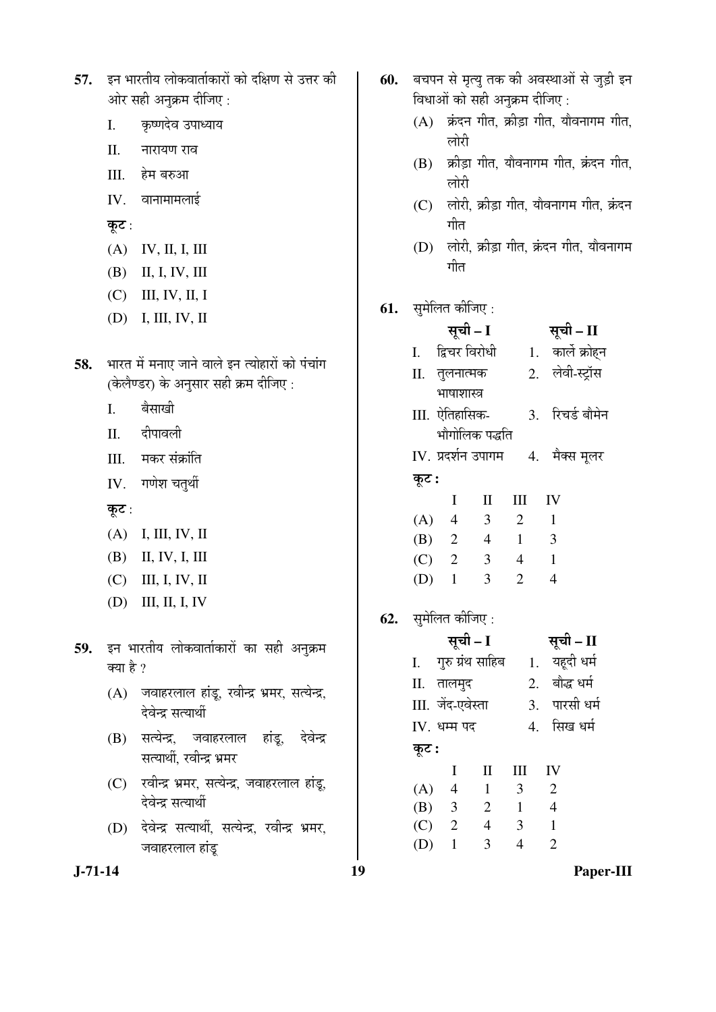| 57.    इन भारतीय लोकवार्ताकारों को दक्षिण से उत्तर की |
|-------------------------------------------------------|
| ओर सही अनुक्रम दीजिए :                                |

- $I.$ कृष्णदेव उपाध्याय
- $\rm{II}.$ नारायण राव
- III. हेम बरुआ
- IV. वानामामलाई

कूट :

- $(A)$  IV, II, I, III
- (B) II, I, IV, III
- $(C)$  III, IV, II, I
- $(D)$  I, III, IV, II
- 58. भारत में मनाए जाने वाले इन त्योहारों को पंचांग (केलैण्डर) के अनुसार सही क्रम दीजिए:
	- बैसाखी  $\overline{L}$
	- दीपावली  $\Pi$ .
	- III. मकर संक्रांति
	- IV. गणेश चतुर्थी

कूट:

- $(A)$  I, III, IV, II
- $(B)$  II, IV, I, III
- $(C)$  III, I, IV, II
- $(D)$  III, II, I, IV
- 59. इन भारतीय लोकवार्ताकारों का सही अनुक्रम क्या है ?
	- (A) जवाहरलाल हांडू, रवीन्द्र भ्रमर, सत्येन्द्र, देवेन्द्र सत्यार्थी
	- (B) सत्येन्द्र, जवाहरलाल देवेन्द्र हांडू, सत्यार्थी, रवीन्द्र भ्रमर
	- (C) रवीन्द्र भ्रमर, सत्येन्द्र, जवाहरलाल हांडू, देवेन्द्र सत्यार्थी
	- (D) देवेन्द्र सत्यार्थी, सत्येन्द्र, रवीन्द्र भ्रमर, जवाहरलाल हांडू
- बचपन से मृत्यु तक की अवस्थाओं से जुड़ी इन 60. विधाओं को सही अनुक्रम दीजिए:
	- (A) क्रंदन गीत, क्रीड़ा गीत, यौवनागम गीत, लोरी
	- (B) क्रीड़ा गीत, यौवनागम गीत, क्रंदन गीत, लोरी
	- (C) लोरी, क्रीडा गीत, यौवनागम गीत, क्रंदन गीत
	- (D) लोरी, क्रीड़ा गीत, क्रंदन गीत, यौवनागम गीत

# **61.** सुमेलित कीजिए:

|       | सूची – I           |                |                             | सूची – II        |
|-------|--------------------|----------------|-----------------------------|------------------|
|       | I. द्विचर विरोधी   |                |                             | 1. कार्ले क्रोहन |
|       | II. तुलनात्मक      |                |                             | 2. लेवी-स्ट्रॉस  |
|       | भाषाशास्त्र        |                |                             |                  |
|       | III. ऐतिहासिक-     |                | $\mathcal{F}_{\mathcal{A}}$ | रिचर्ड बौमेन     |
|       |                    | भौगोलिक पद्धति |                             |                  |
|       | IV. प्रदर्शन उपागम |                |                             | 4. मैक्स मूलर    |
| कूट : |                    |                |                             |                  |
|       | I                  | Н              | Ш                           | IV               |
| (A)   | $\overline{4}$     | 3              | $\overline{2}$              | $\mathbf{1}$     |
| (B)   | $\overline{2}$     | $\overline{4}$ | $\mathbf{1}$                | 3                |
| (C)   | $\overline{2}$     | 3              | 4                           | 1                |
| (D)   | 1                  | 3              | 2                           | 4                |

**62.** सुमेलित कीजिए:

|       | सूची – I          |                  |    | सूची – II        |
|-------|-------------------|------------------|----|------------------|
| I.    |                   | गुरु ग्रंथ साहिब |    | यहूदी धर्म<br>1. |
|       | II. तालमुद        |                  | 2. | बौद्ध धर्म       |
|       | III. जेंद-एवेस्ता |                  | 3. | पारसी धर्म       |
|       | IV. धम्म पद       |                  |    | 4. सिख धर्म      |
| कूट : |                   |                  |    |                  |
|       | Ι                 | $\mathbf{I}$     | Ш  | IV               |
| (A)   | $\overline{4}$    | 1                | 3  | $\overline{2}$   |
| (B)   | 3                 | $\overline{2}$   | 1  | 4                |
| (C)   | $\overline{2}$    | 4                | 3  | 1                |
| (D)   | 1                 | 3                |    | $\overline{2}$   |
|       |                   |                  |    |                  |

 $J - 71 - 14$ 

19

Paper-III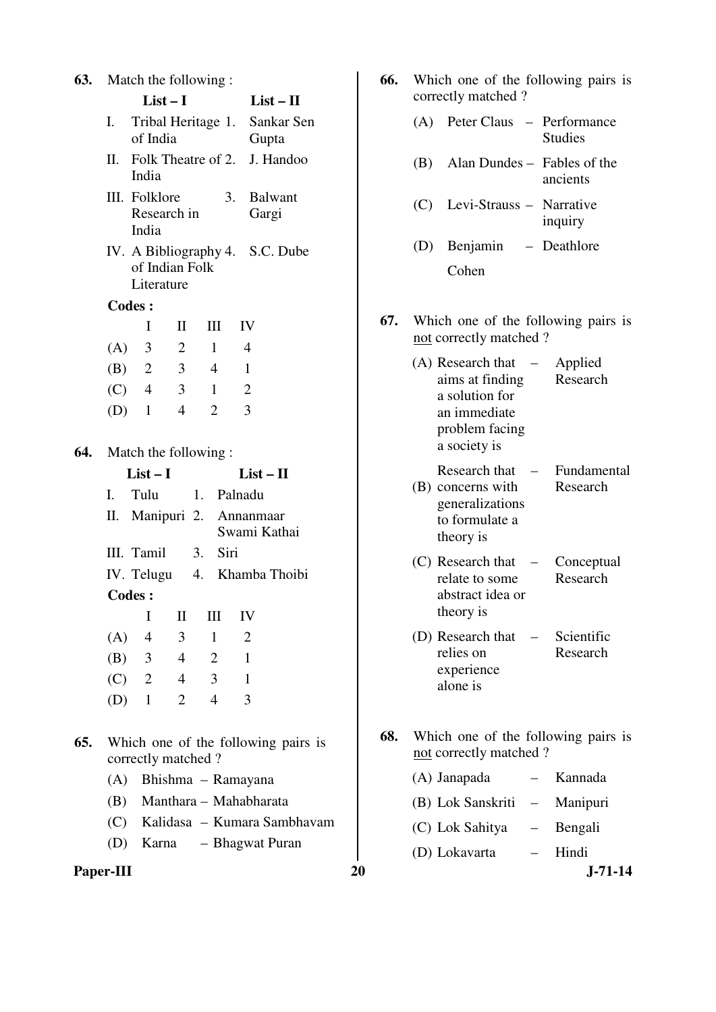| 63. |                | Match the following:         |                |                        |                                           |
|-----|----------------|------------------------------|----------------|------------------------|-------------------------------------------|
|     |                | $List-I$                     |                |                        | $List-II$                                 |
|     | I. —           |                              |                | Tribal Heritage 1.     | Sankar Sen                                |
|     |                | of India                     |                |                        | Gupta                                     |
|     |                | India                        |                | II. Folk Theatre of 2. | J. Handoo                                 |
|     |                | III. Folklore                |                | 3.                     | <b>Balwant</b>                            |
|     |                | Research in<br>India         |                |                        | Gargi                                     |
|     |                | of Indian Folk<br>Literature |                |                        | IV. A Bibliography 4. S.C. Dube           |
|     |                | <b>Codes:</b>                |                |                        |                                           |
|     |                | I                            | П              | Ш                      | IV                                        |
|     |                | $(A)$ 3                      | $\overline{2}$ | 1                      | $\overline{4}$                            |
|     |                | (B) 2 3                      |                | $\overline{4}$         | 1                                         |
|     |                | $(C)$ 4                      | $\overline{3}$ | $\mathbf{1}$           | $\overline{2}$                            |
|     |                | $(D)$ 1                      | $\overline{4}$ | 2                      | 3                                         |
| 64. |                |                              |                | Match the following:   |                                           |
|     |                |                              |                |                        |                                           |
|     |                | $List-I$                     |                |                        | $List - II$                               |
|     | $\mathbf{I}$ . | Tulu                         |                | 1. Palnadu             |                                           |
|     |                |                              |                |                        | II. Manipuri 2. Annanmaar<br>Swami Kathai |
|     |                | III. Tamil                   |                | 3. Siri                |                                           |
|     |                |                              |                |                        | IV. Telugu 4. Khamba Thoibi               |
|     |                | <b>Codes:</b>                |                |                        |                                           |
|     |                | I                            | $\rm{II}$      | $\rm III$              | IV                                        |
|     |                | (A) 4 3                      |                | 1                      | $\overline{\phantom{a}}$                  |
|     |                |                              |                | (B) 3 4 2 1            |                                           |
|     |                | $(C)$ 2 4 3                  |                |                        | $\blacksquare$                            |
|     |                | $(D)$ 1                      | $\overline{2}$ | $\overline{4}$         | 3                                         |
| 65. |                | correctly matched?           |                |                        | Which one of the following pairs is       |
|     |                |                              |                | (A) Bhishma – Ramayana |                                           |
|     |                |                              |                |                        | (B) Manthara - Mahabharata                |
|     |                |                              |                |                        | (C) Kalidasa – Kumara Sambhavam           |

- **66.** Which one of the following pairs is correctly matched ? (A) Peter Claus – Performance Studies (B) Alan Dundes – Fables of the ancients (C) Levi-Strauss – Narrative inquiry (D) Benjamin – Deathlore Cohen **67.** Which one of the following pairs is not correctly matched ?  $(A)$  Research that  $$ aims at finding a solution for an immediate problem facing a society is – Applied Research (B) concerns with Research that  $$ generalizations to formulate a theory is – Fundamental Research (C) Research that relate to some abstract idea or theory is – Conceptual Research (D) Research that relies on experience alone is Scientific Research
- **68.** Which one of the following pairs is not correctly matched ?
	- (A) Janapada Kannada
	- (B) Lok Sanskriti Manipuri
	- (C) Lok Sahitya Bengali
	- (D) Lokavarta Hindi

Paper-III 20 J-71-14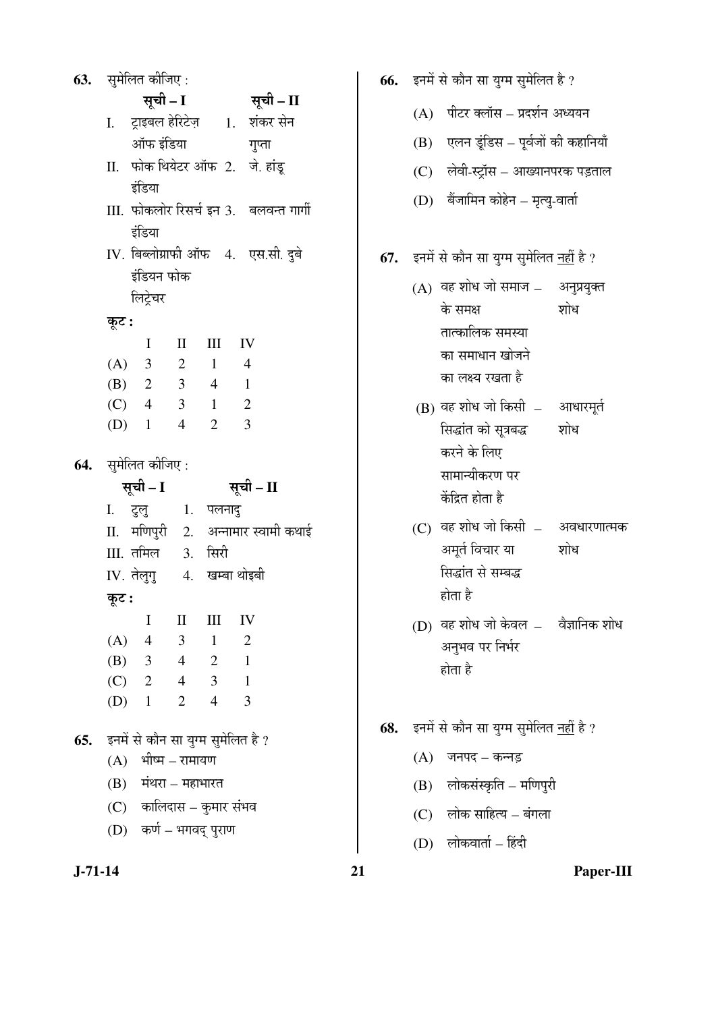|         | <b>63.</b> सुमेलित कीजिए :                         |                         |                     |                                        |
|---------|----------------------------------------------------|-------------------------|---------------------|----------------------------------------|
|         | सूची - I                                           |                         |                     | सूची – II                              |
|         |                                                    |                         |                     | I. ट्राइबल हेरिटेज़ 1. शंकर सेन        |
|         | ऑफ इंडिया                                          |                         |                     | गुप्ता                                 |
|         |                                                    |                         |                     | II. फोक थियेटर ऑफ 2. जे. हांडू         |
|         | इंडिया                                             |                         |                     |                                        |
|         |                                                    |                         |                     | III. फोकलोर रिसर्च इन 3. बलवन्त गार्गी |
|         | इंडिया                                             |                         |                     |                                        |
|         |                                                    |                         |                     | IV. बिब्लोग्राफी ऑफ 4. एस.सी. दुबे     |
|         | इंडियन फोक                                         |                         |                     |                                        |
|         | लिट्रेचर                                           |                         |                     |                                        |
| कूट :   |                                                    |                         |                     |                                        |
|         |                                                    |                         | I II III IV         |                                        |
|         | (A) 3 2 1 4                                        |                         |                     |                                        |
|         | (B) 2 3 4 1                                        |                         |                     |                                        |
|         | $(C)$ 4 3 1 2                                      |                         |                     |                                        |
|         | (D) $1 \t 4 \t 2 \t 3$                             |                         |                     |                                        |
|         | 64. सुमेलित कीजिए :                                |                         |                     |                                        |
|         | सूची – I                                           |                         |                     | सूची – II                              |
|         |                                                    |                         |                     |                                        |
|         | I. टुलु   1. पलनादु                                |                         |                     | II. मणिपुरी 2. अन्नामार स्वामी कथाई    |
|         |                                                    |                         |                     |                                        |
|         |                                                    |                         |                     |                                        |
|         | III. तमिल 3. सिरी                                  |                         |                     |                                        |
|         | IV. तेलुगु 4. खम्बा थोइबी                          |                         |                     |                                        |
| कूट :   |                                                    |                         |                     |                                        |
|         | I                                                  | II                      | Ш<br>$\overline{1}$ | IV<br>$\overline{2}$                   |
|         | (A) 4                                              | $\overline{\mathbf{3}}$ |                     | $\overline{1}$                         |
|         | (B) $3 \t 4 \t 2$<br>$(C)$ 2 4 3                   |                         |                     | $\overline{1}$                         |
| $(D)$ 1 |                                                    | 2                       | $\overline{4}$      | $\overline{\mathbf{3}}$                |
|         |                                                    |                         |                     |                                        |
|         | 65. इनमें से कौन सा युग्म सुमेलित है ?             |                         |                     |                                        |
|         | $(A)$ भीष्म – रामायण                               |                         |                     |                                        |
|         | (B) मंथरा – महाभारत                                |                         |                     |                                        |
|         | (C) कालिदास – कुमार संभव<br>(D) कर्ण – भगवद् पुराण |                         |                     |                                        |

- **66.** इनमें से कौन सा युग्म सुमेलित है ?  $(A)$  पीटर क्लॉस – प्रदर्शन अध्ययन  $(B)$  एलन डूंडिस – पूर्वजों की कहानियाँ (C) लेवी-स्ट्रॉस – आख्यानपरक पड़ताल (D) बेंजामिन कोहेन – मृत्यु-वार्ता **67.** इनमें से कौन सा युग्म सुमेलित नहीं है ?  $(A)$  वह शोध जो समाज  $-$ के समक्ष तात्कालिक समस्या का समाधान खोजने का लक्ष्य रखता है अनुप्रयुक्त शोध  $(B)$  वह शोध जो किसी  $-$ सिद्धांत को सूत्रबद्ध करने के लिए सामान्यीकरण पर केंद्रित होता है आधारमूर्त शोध  $(C)$  वह शोध जो किसी  $-$ अमूर्त विचार या सिद्धांत से सम्बद्ध होता है अवधारणात्मक शोध (D) वह शोध जो केवल  $-$ अनुभव पर निर्भर होता है वैज्ञानिक शोध **68.** इनमें से कौन सा युग्म सुमेलित नहीं है ?  $(A)$  जनपद – कन्नड  $(B)$  लोकसंस्कृति – मणिपुरी
	- $(C)$  लोक साहित्य बंगला
	- $(D)$  लोकवार्ता हिंदी

**J-71-14 21 Paper-III**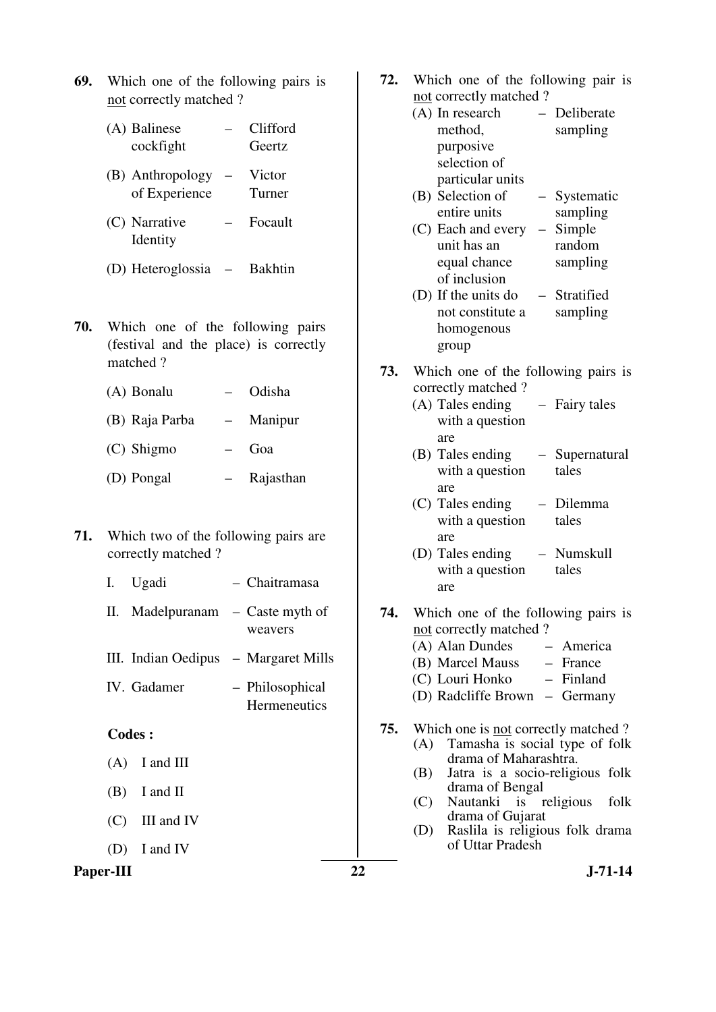- **69.** Which one of the following pairs is not correctly matched ?
	- (A) Balinese cockfight – Clifford Geertz
	- (B) Anthropology of Experience – Victor Turner
	- (C) Narrative Identity – Focault
	- (D) Heteroglossia Bakhtin
- **70.** Which one of the following pairs (festival and the place) is correctly matched ?
	- (A) Bonalu Odisha
	- (B) Raja Parba Manipur
	- (C) Shigmo Goa
	- (D) Pongal Rajasthan
- **71.** Which two of the following pairs are correctly matched ?
	- I. Ugadi Chaitramasa
	- II. Madelpuranam Caste myth of weavers
	- III. Indian Oedipus Margaret Mills
	- IV. Gadamer Philosophical **Hermeneutics**

- (A) I and III
- (B) I and II
- (C) III and IV
- (D) I and IV

## Paper-III 22 J-71-14

- **72.** Which one of the following pair is not correctly matched ?
	- (A) In research method, purposive selection of particular units – Deliberate sampling (B) Selection of – Systematic
	- entire units sampling  $(C)$  Each and every  $-$ – Simple
	- unit has an equal chance of inclusion random sampling
	- (D) If the units do not constitute a homogenous group – Stratified sampling
- **73.** Which one of the following pairs is correctly matched ?
	- (A) Tales ending with a question are – Fairy tales
	- (B) Tales ending with a question are – Supernatural tales
	- (C) Tales ending with a question are – Dilemma tales
	- (D) Tales ending with a question are – Numskull tales
- **74.** Which one of the following pairs is not correctly matched ? (A) Alan Dundes – America
	- (B) Marcel Mauss France
	- (C) Louri Honko Finland
	- (D) Radcliffe Brown Germany
- **75.** Which one is not correctly matched ?
	- (A) Tamasha is social type of folk drama of Maharashtra.
	- (B) Jatra is a socio-religious folk drama of Bengal
	- (C) Nautanki is religious folk drama of Gujarat
	- (D) Raslila is religious folk drama of Uttar Pradesh
		-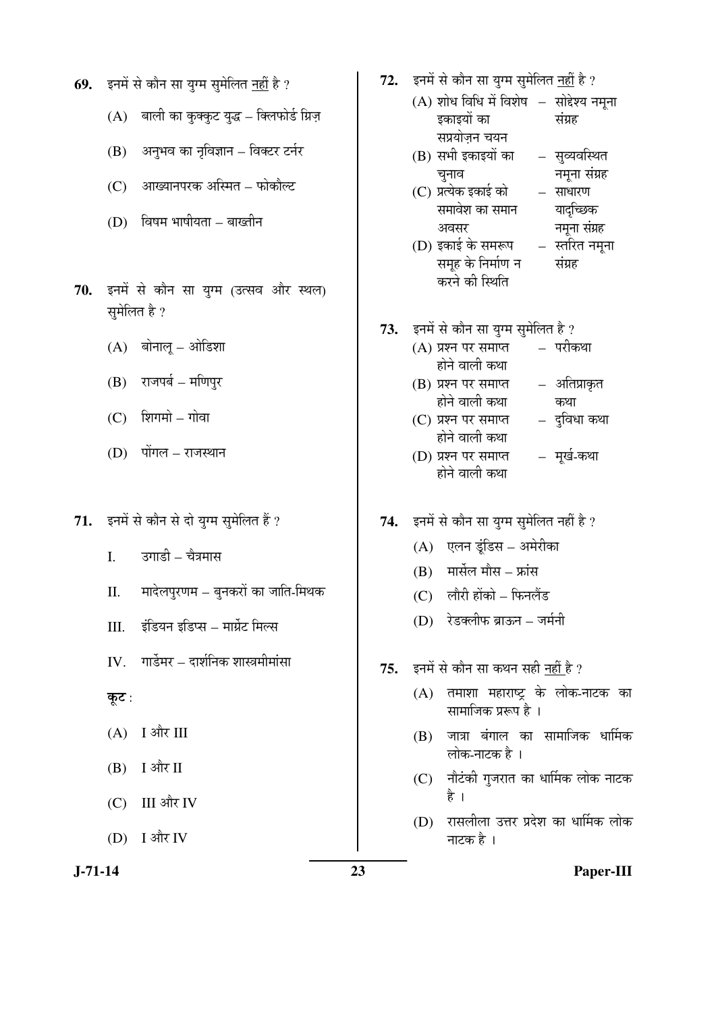- **69.** इनमें से कौन सा युग्म सुमेलित नहीं है ?
	- $(A)$  बाली का कुक्कुट युद्ध क्लिफोर्ड ग्रिज़
	- (B) अनुभव का नृविज्ञान विक्टर टर्नर
	- (C) आख्यानपरक अस्मित फोकौल्ट
	- $(D)$  विषम भाषीयता बाख्तीन
- 70. इनमें से कौन सा युग्म (उत्सव और स्थल) सुमेलित है ?
	- $(A)$  बोनालू ओडिशा
	- (B) राजपर्ब मणिपुर
	- $(C)$  शिगमो गोवा
	- (D) पोंगल राजस्थान
- 71. इनमें से कौन से दो युग्म सुमेलित हैं ?
	- I. उगाडी चैत्रमास
	- II. मादेलपुरणम बुनकरों का जाति-मिथक
	- III. इंडियन इडिप्स मार्ग्रेट मिल्स
	- $IV.$  गार्डेमर दार्शनिक शास्त्रमीमांसा
	- कूट :
	- $(A)$  I और III
	- $(B)$  I और II
	- (C) III और IV
	- $(D)$  I और IV

- 72. इनमें से कौन सा युग्म सुमेलित नहीं है ?
	- $(A)$  शोध विधि में विशेष  $-$  सोद्देश्य नमूना इकाइयों का सप्रयोजन चयन संग्रह
	- $(B)$  सभी इकाइयों का चुनाव – सुव्यवस्थित नमुना संग्रह
	- (C) प्रत्येक इकाई को समावेश का समान अवसर
- साधारण यादच्छिक नमूना संग्रह
- (D) इकाई के समरूप समूह के निर्माण न करने की स्थिति – स्तरित नमुना संग्रह
- 73. इनमें से कौन सा युग्म सुमेलित है ?
	- $(A)$  प्रश्न पर समाप्त होने वाली कथा – परीकथा
		- (B) प्रश्न पर समाप्त होने वाली कथा – अतिप्राकृत कथा
		- $(C)$  प्रश्न पर समाप्त होने वाली कथा – दुविधा कथा
		- (D) प्रश्न पर समाप्त होने वाली कथा – मुर्ख-कथा
- 74. इनमें से कौन सा युग्म सुमेलित नहीं है ?
	- (A) एलन डूंडिस अमेरीका
	- $(B)$  मार्सेल मौस फ्रांस
	- (C) लौरी होंको फिनलैंड
	- $(D)$  रेडक्लीफ ब्राऊन जर्मनी
- 75. **इनमें से कौन सा कथन सही नहीं** है ?
	- $(A)$  तमाशा महाराष्ट्र के लोक-नाटक का सामाजिक प्ररूप है ।
	- $(B)$  जात्रा बंगाल का सामाजिक धार्मिक लोक-नाटक है ।
	- $(C)$  नौटंकी गुजरात का धार्मिक लोक नाटक है ।
	- (D) रासलीला उत्तर प्रदेश का धार्मिक लोक नाटक है ।

**J-71-14 23 Paper-III**